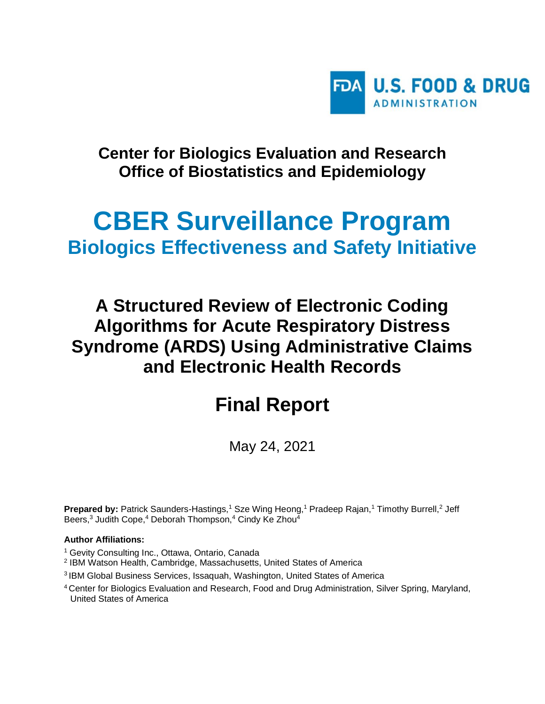

## **Center for Biologics Evaluation and Research Office of Biostatistics and Epidemiology**

# **CBER Surveillance Program Biologics Effectiveness and Safety Initiative**

## **A Structured Review of Electronic Coding Algorithms for Acute Respiratory Distress Syndrome (ARDS) Using Administrative Claims and Electronic Health Records**

# **Final Report**

May 24, 2021

**Prepared by:** Patrick Saunders-Hastings,<sup>1</sup> Sze Wing Heong,<sup>1</sup> Pradeep Rajan,<sup>1</sup> Timothy Burrell,<sup>2</sup> Jeff Beers,<sup>3</sup> Judith Cope,<sup>4</sup> Deborah Thompson,<sup>4</sup> Cindy Ke Zhou<sup>4</sup>

#### **Author Affiliations:**

- <sup>1</sup> Gevity Consulting Inc., Ottawa, Ontario, Canada
- 2 IBM Watson Health, Cambridge, Massachusetts, United States of America
- <sup>3</sup> IBM Global Business Services, Issaquah, Washington, United States of America
- <sup>4</sup>Center for Biologics Evaluation and Research, Food and Drug Administration, Silver Spring, Maryland, United States of America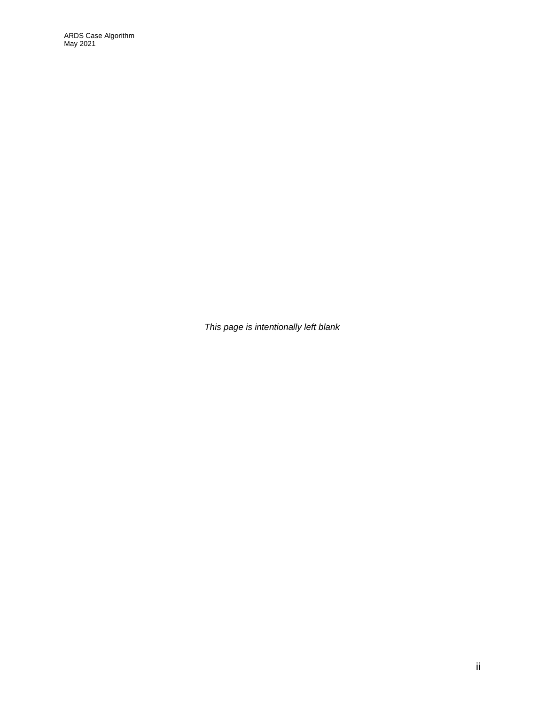ARDS Case Algorithm May 2021

*This page is intentionally left blank*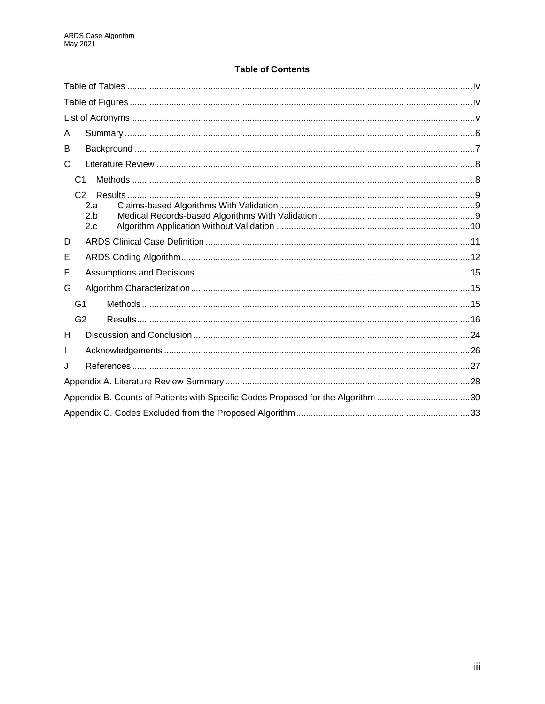### **Table of Contents**

| A                                                                                |
|----------------------------------------------------------------------------------|
| B                                                                                |
| C                                                                                |
| C <sub>1</sub>                                                                   |
| C2<br>2.a<br>2.b<br>2.c                                                          |
| D                                                                                |
| Е                                                                                |
| F                                                                                |
| G                                                                                |
| G <sub>1</sub>                                                                   |
| G <sub>2</sub>                                                                   |
| н                                                                                |
| L                                                                                |
| J                                                                                |
|                                                                                  |
| Appendix B. Counts of Patients with Specific Codes Proposed for the Algorithm 30 |
|                                                                                  |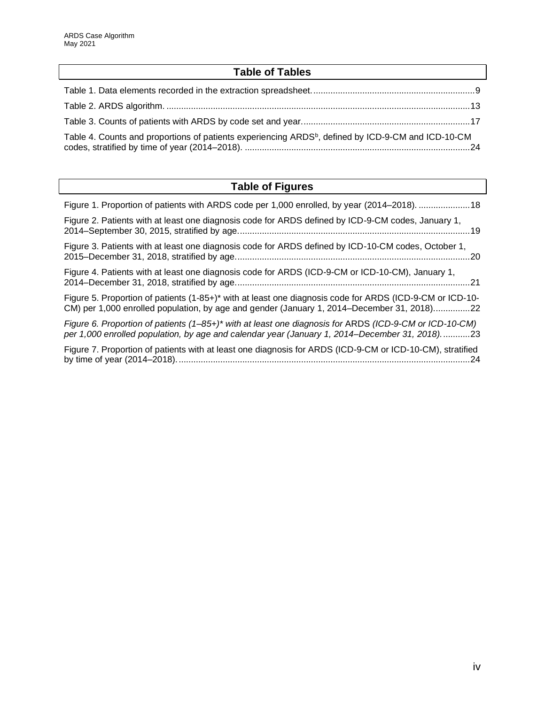## **Table of Tables**

<span id="page-3-0"></span>

| Table 4. Counts and proportions of patients experiencing ARDS <sup>b</sup> , defined by ICD-9-CM and ICD-10-CM |  |
|----------------------------------------------------------------------------------------------------------------|--|

## **Table of Figures**

<span id="page-3-1"></span>

| Figure 1. Proportion of patients with ARDS code per 1,000 enrolled, by year (2014–2018). 18                                                                                                             |
|---------------------------------------------------------------------------------------------------------------------------------------------------------------------------------------------------------|
| Figure 2. Patients with at least one diagnosis code for ARDS defined by ICD-9-CM codes, January 1,                                                                                                      |
| Figure 3. Patients with at least one diagnosis code for ARDS defined by ICD-10-CM codes, October 1,                                                                                                     |
| Figure 4. Patients with at least one diagnosis code for ARDS (ICD-9-CM or ICD-10-CM), January 1,                                                                                                        |
| Figure 5. Proportion of patients (1-85+)* with at least one diagnosis code for ARDS (ICD-9-CM or ICD-10-<br>CM) per 1,000 enrolled population, by age and gender (January 1, 2014–December 31, 2018)22  |
| Figure 6. Proportion of patients (1–85+)* with at least one diagnosis for ARDS (ICD-9-CM or ICD-10-CM)<br>per 1,000 enrolled population, by age and calendar year (January 1, 2014–December 31, 2018)23 |
| Figure 7. Proportion of patients with at least one diagnosis for ARDS (ICD-9-CM or ICD-10-CM), stratified<br>. 24                                                                                       |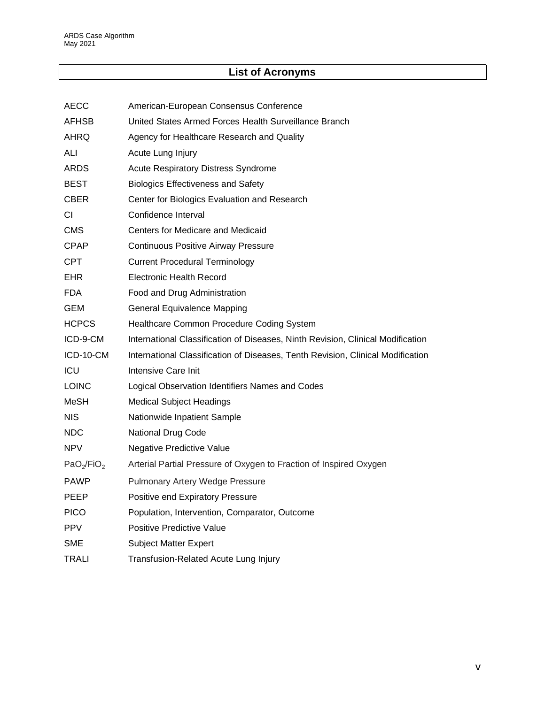## **List of Acronyms**

<span id="page-4-0"></span>

| AECC                               | American-European Consensus Conference                                          |
|------------------------------------|---------------------------------------------------------------------------------|
| AFHSB                              | United States Armed Forces Health Surveillance Branch                           |
| AHRQ                               | Agency for Healthcare Research and Quality                                      |
| ALI                                | Acute Lung Injury                                                               |
| <b>ARDS</b>                        | <b>Acute Respiratory Distress Syndrome</b>                                      |
| <b>BEST</b>                        | <b>Biologics Effectiveness and Safety</b>                                       |
| CBER                               | Center for Biologics Evaluation and Research                                    |
| СI                                 | Confidence Interval                                                             |
| <b>CMS</b>                         | Centers for Medicare and Medicaid                                               |
| <b>CPAP</b>                        | <b>Continuous Positive Airway Pressure</b>                                      |
| <b>CPT</b>                         | <b>Current Procedural Terminology</b>                                           |
| <b>EHR</b>                         | <b>Electronic Health Record</b>                                                 |
| FDA.                               | Food and Drug Administration                                                    |
| GEM                                | <b>General Equivalence Mapping</b>                                              |
| <b>HCPCS</b>                       | Healthcare Common Procedure Coding System                                       |
| ICD-9-CM                           | International Classification of Diseases, Ninth Revision, Clinical Modification |
| ICD-10-CM                          | International Classification of Diseases, Tenth Revision, Clinical Modification |
| ICU                                | Intensive Care Init                                                             |
| <b>LOINC</b>                       | Logical Observation Identifiers Names and Codes                                 |
| MeSH                               | <b>Medical Subject Headings</b>                                                 |
| <b>NIS</b>                         | Nationwide Inpatient Sample                                                     |
| <b>NDC</b>                         | <b>National Drug Code</b>                                                       |
| <b>NPV</b>                         | Negative Predictive Value                                                       |
| PaO <sub>2</sub> /FiO <sub>2</sub> | Arterial Partial Pressure of Oxygen to Fraction of Inspired Oxygen              |
| <b>PAWP</b>                        | Pulmonary Artery Wedge Pressure                                                 |
| PEEP                               | Positive end Expiratory Pressure                                                |
| <b>PICO</b>                        | Population, Intervention, Comparator, Outcome                                   |
| PPV.                               | <b>Positive Predictive Value</b>                                                |
| <b>SME</b>                         | <b>Subject Matter Expert</b>                                                    |
| TRALI                              | Transfusion-Related Acute Lung Injury                                           |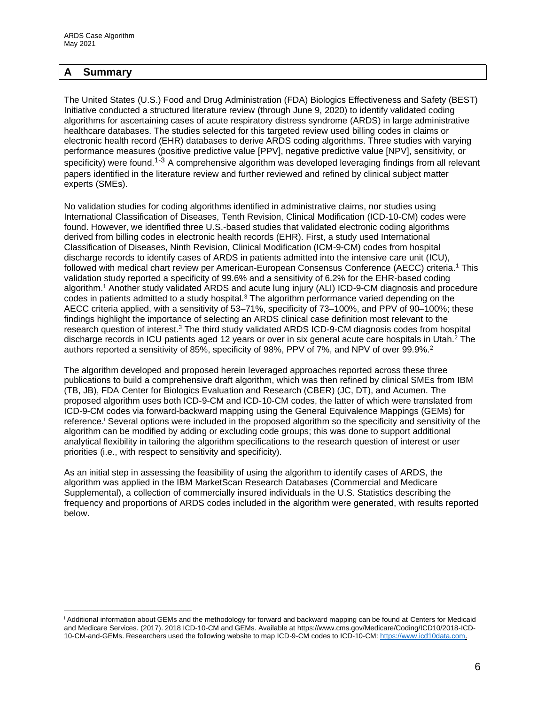### <span id="page-5-0"></span>**A Summary**

The United States (U.S.) Food and Drug Administration (FDA) Biologics Effectiveness and Safety (BEST) Initiative conducted a structured literature review (through June 9, 2020) to identify validated coding algorithms for ascertaining cases of acute respiratory distress syndrome (ARDS) in large administrative healthcare databases. The studies selected for this targeted review used billing codes in claims or electronic health record (EHR) databases to derive ARDS coding algorithms. Three studies with varying performance measures (positive predictive value [PPV], negative predictive value [NPV], sensitivity, or specificity) were found.<sup>1-3</sup> A comprehensive algorithm was developed leveraging findings from all relevant papers identified in the literature review and further reviewed and refined by clinical subject matter experts (SMEs).

No validation studies for coding algorithms identified in administrative claims, nor studies using International Classification of Diseases, Tenth Revision, Clinical Modification (ICD-10-CM) codes were found. However, we identified three U.S.-based studies that validated electronic coding algorithms derived from billing codes in electronic health records (EHR). First, a study used International Classification of Diseases, Ninth Revision, Clinical Modification (ICM-9-CM) codes from hospital discharge records to identify cases of ARDS in patients admitted into the intensive care unit (ICU), followed with medical chart review per American-European Consensus Conference (AECC) criteria. <sup>1</sup> This validation study reported a specificity of 99.6% and a sensitivity of 6.2% for the EHR-based coding algorithm. <sup>1</sup> Another study validated ARDS and acute lung injury (ALI) ICD-9-CM diagnosis and procedure codes in patients admitted to a study hospital.<sup>3</sup> The algorithm performance varied depending on the AECC criteria applied, with a sensitivity of 53–71%, specificity of 73–100%, and PPV of 90–100%; these findings highlight the importance of selecting an ARDS clinical case definition most relevant to the research question of interest.<sup>3</sup> The third study validated ARDS ICD-9-CM diagnosis codes from hospital discharge records in ICU patients aged 12 years or over in six general acute care hospitals in Utah.<sup>2</sup> The authors reported a sensitivity of 85%, specificity of 98%, PPV of 7%, and NPV of over 99.9%.<sup>2</sup>

The algorithm developed and proposed herein leveraged approaches reported across these three publications to build a comprehensive draft algorithm, which was then refined by clinical SMEs from IBM (TB, JB), FDA Center for Biologics Evaluation and Research (CBER) (JC, DT), and Acumen. The proposed algorithm uses both ICD-9-CM and ICD-10-CM codes, the latter of which were translated from ICD-9-CM codes via forward-backward mapping using the General Equivalence Mappings (GEMs) for reference.<sup>i</sup> Several options were included in the proposed algorithm so the specificity and sensitivity of the algorithm can be modified by adding or excluding code groups; this was done to support additional analytical flexibility in tailoring the algorithm specifications to the research question of interest or user priorities (i.e., with respect to sensitivity and specificity).

As an initial step in assessing the feasibility of using the algorithm to identify cases of ARDS, the algorithm was applied in the IBM MarketScan Research Databases (Commercial and Medicare Supplemental), a collection of commercially insured individuals in the U.S. Statistics describing the frequency and proportions of ARDS codes included in the algorithm were generated, with results reported below.

<sup>i</sup> Additional information about GEMs and the methodology for forward and backward mapping can be found at Centers for Medicaid and Medicare Services. (2017). 2018 ICD-10-CM and GEMs. Available at https://www.cms.gov/Medicare/Coding/ICD10/2018-ICD-10-CM-and-GEMs. Researchers used the following website to map ICD-9-CM codes to ICD-10-CM[: https://www.icd10data.com.](https://www.icd10data.com/)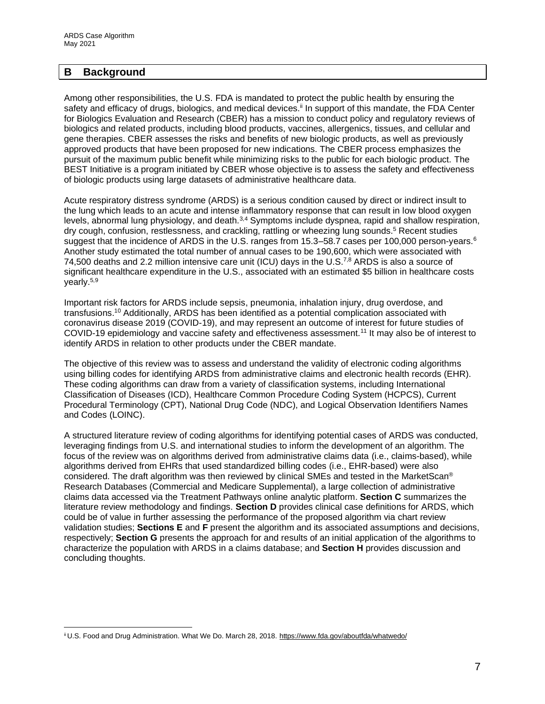## <span id="page-6-0"></span>**B Background**

Among other responsibilities, the U.S. FDA is mandated to protect the public health by ensuring the safety and efficacy of drugs, biologics, and medical devices.<sup>ii</sup> In support of this mandate, the FDA Center for Biologics Evaluation and Research (CBER) has a mission to conduct policy and regulatory reviews of biologics and related products, including blood products, vaccines, allergenics, tissues, and cellular and gene therapies. CBER assesses the risks and benefits of new biologic products, as well as previously approved products that have been proposed for new indications. The CBER process emphasizes the pursuit of the maximum public benefit while minimizing risks to the public for each biologic product. The BEST Initiative is a program initiated by CBER whose objective is to assess the safety and effectiveness of biologic products using large datasets of administrative healthcare data.

Acute respiratory distress syndrome (ARDS) is a serious condition caused by direct or indirect insult to the lung which leads to an acute and intense inflammatory response that can result in low blood oxygen levels, abnormal lung physiology, and death. $3,4$  Symptoms include dyspnea, rapid and shallow respiration, dry cough, confusion, restlessness, and crackling, rattling or wheezing lung sounds.<sup>5</sup> Recent studies suggest that the incidence of ARDS in the U.S. ranges from 15.3–58.7 cases per 100,000 person-years.<sup>6</sup> Another study estimated the total number of annual cases to be 190,600, which were associated with 74,500 deaths and 2.2 million intensive care unit (ICU) days in the U.S.<sup>7,8</sup> ARDS is also a source of significant healthcare expenditure in the U.S., associated with an estimated \$5 billion in healthcare costs yearly.5,9

Important risk factors for ARDS include sepsis, pneumonia, inhalation injury, drug overdose, and transfusions. <sup>10</sup> Additionally, ARDS has been identified as a potential complication associated with coronavirus disease 2019 (COVID-19), and may represent an outcome of interest for future studies of COVID-19 epidemiology and vaccine safety and effectiveness assessment.<sup>11</sup> It may also be of interest to identify ARDS in relation to other products under the CBER mandate.

The objective of this review was to assess and understand the validity of electronic coding algorithms using billing codes for identifying ARDS from administrative claims and electronic health records (EHR). These coding algorithms can draw from a variety of classification systems, including International Classification of Diseases (ICD), Healthcare Common Procedure Coding System (HCPCS), Current Procedural Terminology (CPT), National Drug Code (NDC), and Logical Observation Identifiers Names and Codes (LOINC).

A structured literature review of coding algorithms for identifying potential cases of ARDS was conducted, leveraging findings from U.S. and international studies to inform the development of an algorithm. The focus of the review was on algorithms derived from administrative claims data (i.e., claims-based), while algorithms derived from EHRs that used standardized billing codes (i.e., EHR-based) were also considered. The draft algorithm was then reviewed by clinical SMEs and tested in the MarketScan® Research Databases (Commercial and Medicare Supplemental), a large collection of administrative claims data accessed via the Treatment Pathways online analytic platform. **Section C** summarizes the literature review methodology and findings. **Section D** provides clinical case definitions for ARDS, which could be of value in further assessing the performance of the proposed algorithm via chart review validation studies; **Sections E** and **F** present the algorithm and its associated assumptions and decisions, respectively; **Section G** presents the approach for and results of an initial application of the algorithms to characterize the population with ARDS in a claims database; and **Section H** provides discussion and concluding thoughts.

ii U.S. Food and Drug Administration. What We Do. March 28, 2018.<https://www.fda.gov/aboutfda/whatwedo/>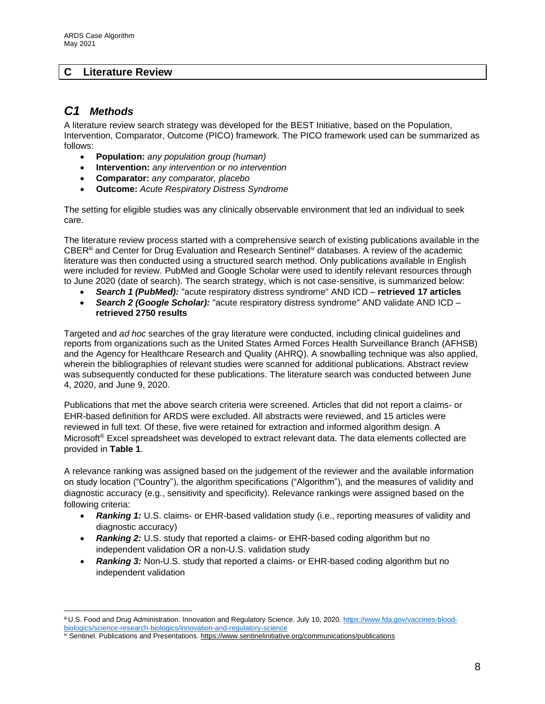## <span id="page-7-0"></span>**C Literature Review**

## <span id="page-7-1"></span>*C1 Methods*

A literature review search strategy was developed for the BEST Initiative, based on the Population, Intervention, Comparator, Outcome (PICO) framework. The PICO framework used can be summarized as follows:

- **Population:** *any population group (human)*
- **Intervention:** *any intervention or no intervention*
- **Comparator:** *any comparator, placebo*
- **Outcome:** *Acute Respiratory Distress Syndrome*

The setting for eligible studies was any clinically observable environment that led an individual to seek care.

The literature review process started with a comprehensive search of existing publications available in the CBERiii and Center for Drug Evaluation and Research Sentineliv databases. A review of the academic literature was then conducted using a structured search method. Only publications available in English were included for review. PubMed and Google Scholar were used to identify relevant resources through to June 2020 (date of search). The search strategy, which is not case-sensitive, is summarized below:

- *Search 1 (PubMed):* "acute respiratory distress syndrome" AND ICD **retrieved 17 articles**
- *Search 2 (Google Scholar):* "acute respiratory distress syndrome" AND validate AND ICD **retrieved 2750 results**

Targeted and *ad hoc* searches of the gray literature were conducted, including clinical guidelines and reports from organizations such as the United States Armed Forces Health Surveillance Branch (AFHSB) and the Agency for Healthcare Research and Quality (AHRQ). A snowballing technique was also applied, wherein the bibliographies of relevant studies were scanned for additional publications. Abstract review was subsequently conducted for these publications. The literature search was conducted between June 4, 2020, and June 9, 2020.

Publications that met the above search criteria were screened. Articles that did not report a claims- or EHR-based definition for ARDS were excluded. All abstracts were reviewed, and 15 articles were reviewed in full text. Of these, five were retained for extraction and informed algorithm design. A Microsoft<sup>®</sup> Excel spreadsheet was developed to extract relevant data. The data elements collected are provided in **[Table 1](#page-8-3)**.

A relevance ranking was assigned based on the judgement of the reviewer and the available information on study location ("Country"), the algorithm specifications ("Algorithm"), and the measures of validity and diagnostic accuracy (e.g., sensitivity and specificity). Relevance rankings were assigned based on the following criteria:

- **Ranking 1:** U.S. claims- or EHR-based validation study (i.e., reporting measures of validity and diagnostic accuracy)
- **Ranking 2:** U.S. study that reported a claims- or EHR-based coding algorithm but no independent validation OR a non-U.S. validation study
- *Ranking 3:* Non-U.S. study that reported a claims- or EHR-based coding algorithm but no independent validation

iii U.S. Food and Drug Administration. Innovation and Regulatory Science. July 10, 2020. [https://www.fda.gov/vaccines-blood](https://www.fda.gov/vaccines-blood-biologics/science-research-biologics/innovation-and-regulatory-science)[biologics/science-research-biologics/innovation-and-regulatory-science](https://www.fda.gov/vaccines-blood-biologics/science-research-biologics/innovation-and-regulatory-science)

iv Sentinel. Publications and Presentations[. https://www.sentinelinitiative.org/communications/publications](https://www.sentinelinitiative.org/communications/publications)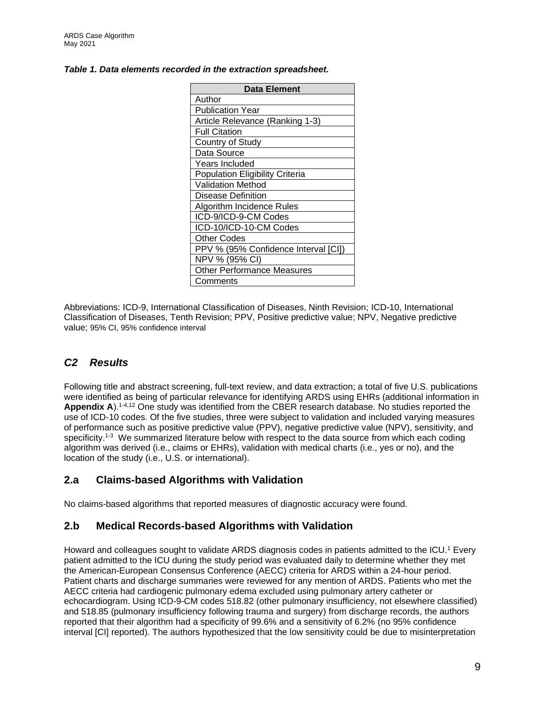<span id="page-8-3"></span>

|  |  |  |  |  |  | Table 1. Data elements recorded in the extraction spreadsheet. |
|--|--|--|--|--|--|----------------------------------------------------------------|
|--|--|--|--|--|--|----------------------------------------------------------------|

| Data Element                           |
|----------------------------------------|
| Author                                 |
| <b>Publication Year</b>                |
| Article Relevance (Ranking 1-3)        |
| <b>Full Citation</b>                   |
| Country of Study                       |
| Data Source                            |
| Years Included                         |
| <b>Population Eligibility Criteria</b> |
| <b>Validation Method</b>               |
| Disease Definition                     |
| Algorithm Incidence Rules              |
| ICD-9/ICD-9-CM Codes                   |
| ICD-10/ICD-10-CM Codes                 |
| <b>Other Codes</b>                     |
| PPV % (95% Confidence Interval [CI])   |
| NPV % (95% CI)                         |
| <b>Other Performance Measures</b>      |
| Comments                               |

Abbreviations: ICD-9, International Classification of Diseases, Ninth Revision; ICD-10, International Classification of Diseases, Tenth Revision; PPV, Positive predictive value; NPV, Negative predictive value; 95% CI, 95% confidence interval

## <span id="page-8-0"></span>*C2 Results*

Following title and abstract screening, full-text review, and data extraction; a total of five U.S. publications were identified as being of particular relevance for identifying ARDS using EHRs (additional information in Appendix A).<sup>1-4,12</sup> One study was identified from the CBER research database. No studies reported the use of ICD-10 codes. Of the five studies, three were subject to validation and included varying measures of performance such as positive predictive value (PPV), negative predictive value (NPV), sensitivity, and specificity.<sup>1-3</sup> We summarized literature below with respect to the data source from which each coding algorithm was derived (i.e., claims or EHRs), validation with medical charts (i.e., yes or no), and the location of the study (i.e., U.S. or international).

## <span id="page-8-1"></span>**2.a Claims-based Algorithms with Validation**

<span id="page-8-2"></span>No claims-based algorithms that reported measures of diagnostic accuracy were found.

#### **2.b Medical Records-based Algorithms with Validation**

Howard and colleagues sought to validate ARDS diagnosis codes in patients admitted to the ICU.<sup>1</sup> Every patient admitted to the ICU during the study period was evaluated daily to determine whether they met the American-European Consensus Conference (AECC) criteria for ARDS within a 24-hour period. Patient charts and discharge summaries were reviewed for any mention of ARDS. Patients who met the AECC criteria had cardiogenic pulmonary edema excluded using pulmonary artery catheter or echocardiogram. Using ICD-9-CM codes 518.82 (other pulmonary insufficiency, not elsewhere classified) and 518.85 (pulmonary insufficiency following trauma and surgery) from discharge records, the authors reported that their algorithm had a specificity of 99.6% and a sensitivity of 6.2% (no 95% confidence interval [CI] reported). The authors hypothesized that the low sensitivity could be due to misinterpretation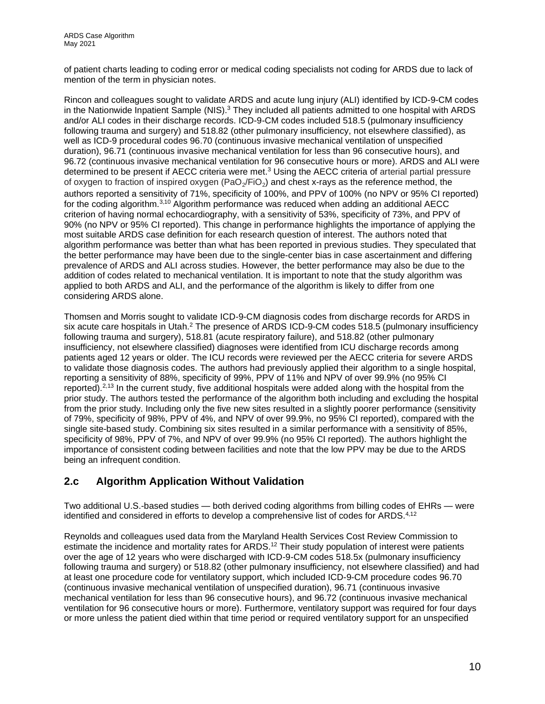of patient charts leading to coding error or medical coding specialists not coding for ARDS due to lack of mention of the term in physician notes.

Rincon and colleagues sought to validate ARDS and acute lung injury (ALI) identified by ICD-9-CM codes in the Nationwide Inpatient Sample (NIS).<sup>3</sup> They included all patients admitted to one hospital with ARDS and/or ALI codes in their discharge records. ICD-9-CM codes included 518.5 (pulmonary insufficiency following trauma and surgery) and 518.82 (other pulmonary insufficiency, not elsewhere classified), as well as ICD-9 procedural codes 96.70 (continuous invasive mechanical ventilation of unspecified duration), 96.71 (continuous invasive mechanical ventilation for less than 96 consecutive hours), and 96.72 (continuous invasive mechanical ventilation for 96 consecutive hours or more). ARDS and ALI were determined to be present if AECC criteria were met.<sup>3</sup> Using the AECC criteria of arterial partial pressure of oxygen to fraction of inspired oxygen (PaO<sub>2</sub>/FiO<sub>2</sub>) and chest x-rays as the reference method, the authors reported a sensitivity of 71%, specificity of 100%, and PPV of 100% (no NPV or 95% CI reported) for the coding algorithm.<sup>3,10</sup> Algorithm performance was reduced when adding an additional AECC criterion of having normal echocardiography, with a sensitivity of 53%, specificity of 73%, and PPV of 90% (no NPV or 95% CI reported). This change in performance highlights the importance of applying the most suitable ARDS case definition for each research question of interest. The authors noted that algorithm performance was better than what has been reported in previous studies. They speculated that the better performance may have been due to the single-center bias in case ascertainment and differing prevalence of ARDS and ALI across studies. However, the better performance may also be due to the addition of codes related to mechanical ventilation. It is important to note that the study algorithm was applied to both ARDS and ALI, and the performance of the algorithm is likely to differ from one considering ARDS alone.

Thomsen and Morris sought to validate ICD-9-CM diagnosis codes from discharge records for ARDS in six acute care hospitals in Utah.<sup>2</sup> The presence of ARDS ICD-9-CM codes 518.5 (pulmonary insufficiency following trauma and surgery), 518.81 (acute respiratory failure), and 518.82 (other pulmonary insufficiency, not elsewhere classified) diagnoses were identified from ICU discharge records among patients aged 12 years or older. The ICU records were reviewed per the AECC criteria for severe ARDS to validate those diagnosis codes. The authors had previously applied their algorithm to a single hospital, reporting a sensitivity of 88%, specificity of 99%, PPV of 11% and NPV of over 99.9% (no 95% CI reported).<sup>2,13</sup> In the current study, five additional hospitals were added along with the hospital from the prior study. The authors tested the performance of the algorithm both including and excluding the hospital from the prior study. Including only the five new sites resulted in a slightly poorer performance (sensitivity of 79%, specificity of 98%, PPV of 4%, and NPV of over 99.9%, no 95% CI reported), compared with the single site-based study. Combining six sites resulted in a similar performance with a sensitivity of 85%, specificity of 98%, PPV of 7%, and NPV of over 99.9% (no 95% CI reported). The authors highlight the importance of consistent coding between facilities and note that the low PPV may be due to the ARDS being an infrequent condition.

## <span id="page-9-0"></span>**2.c Algorithm Application Without Validation**

Two additional U.S.-based studies — both derived coding algorithms from billing codes of EHRs — were identified and considered in efforts to develop a comprehensive list of codes for ARDS.<sup>4,12</sup>

Reynolds and colleagues used data from the Maryland Health Services Cost Review Commission to estimate the incidence and mortality rates for ARDS.<sup>12</sup> Their study population of interest were patients over the age of 12 years who were discharged with ICD-9-CM codes 518.5x (pulmonary insufficiency following trauma and surgery) or 518.82 (other pulmonary insufficiency, not elsewhere classified) and had at least one procedure code for ventilatory support, which included ICD-9-CM procedure codes 96.70 (continuous invasive mechanical ventilation of unspecified duration), 96.71 (continuous invasive mechanical ventilation for less than 96 consecutive hours), and 96.72 (continuous invasive mechanical ventilation for 96 consecutive hours or more). Furthermore, ventilatory support was required for four days or more unless the patient died within that time period or required ventilatory support for an unspecified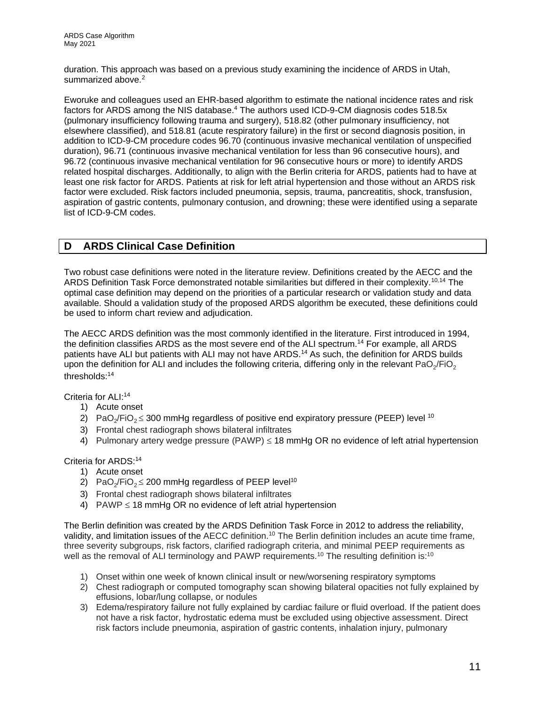duration. This approach was based on a previous study examining the incidence of ARDS in Utah, summarized above.<sup>2</sup>

Eworuke and colleagues used an EHR-based algorithm to estimate the national incidence rates and risk factors for ARDS among the NIS database.<sup>4</sup> The authors used ICD-9-CM diagnosis codes 518.5x (pulmonary insufficiency following trauma and surgery), 518.82 (other pulmonary insufficiency, not elsewhere classified), and 518.81 (acute respiratory failure) in the first or second diagnosis position, in addition to ICD-9-CM procedure codes 96.70 (continuous invasive mechanical ventilation of unspecified duration), 96.71 (continuous invasive mechanical ventilation for less than 96 consecutive hours), and 96.72 (continuous invasive mechanical ventilation for 96 consecutive hours or more) to identify ARDS related hospital discharges. Additionally, to align with the Berlin criteria for ARDS, patients had to have at least one risk factor for ARDS. Patients at risk for left atrial hypertension and those without an ARDS risk factor were excluded. Risk factors included pneumonia, sepsis, trauma, pancreatitis, shock, transfusion, aspiration of gastric contents, pulmonary contusion, and drowning; these were identified using a separate list of ICD-9-CM codes.

## <span id="page-10-0"></span>**D ARDS Clinical Case Definition**

Two robust case definitions were noted in the literature review. Definitions created by the AECC and the ARDS Definition Task Force demonstrated notable similarities but differed in their complexity.10,14 The optimal case definition may depend on the priorities of a particular research or validation study and data available. Should a validation study of the proposed ARDS algorithm be executed, these definitions could be used to inform chart review and adjudication.

The AECC ARDS definition was the most commonly identified in the literature. First introduced in 1994, the definition classifies ARDS as the most severe end of the ALI spectrum.<sup>14</sup> For example, all ARDS patients have ALI but patients with ALI may not have ARDS.<sup>14</sup> As such, the definition for ARDS builds upon the definition for ALI and includes the following criteria, differing only in the relevant PaO $_2$ /FiO $_2$ thresholds: 14

Criteria for ALI:<sup>14</sup>

- 1) Acute onset
- 2) PaO<sub>2</sub>/FiO<sub>2</sub> ≤ 300 mmHg regardless of positive end expiratory pressure (PEEP) level <sup>10</sup>
- 3) Frontal chest radiograph shows bilateral infiltrates
- 4) Pulmonary artery wedge pressure (PAWP)  $\leq$  18 mmHg OR no evidence of left atrial hypertension

#### Criteria for ARDS:<sup>14</sup>

- 1) Acute onset
- 2) PaO $_2$ /FiO $_2$  $\leq$  200 mmHg regardless of PEEP level $^{10}$
- 3) Frontal chest radiograph shows bilateral infiltrates
- 4) PAWP  $\leq$  18 mmHg OR no evidence of left atrial hypertension

The Berlin definition was created by the ARDS Definition Task Force in 2012 to address the reliability, validity, and limitation issues of the AECC definition.<sup>10</sup> The Berlin definition includes an acute time frame, three severity subgroups, risk factors, clarified radiograph criteria, and minimal PEEP requirements as well as the removal of ALI terminology and PAWP requirements.<sup>10</sup> The resulting definition is:<sup>10</sup>

- 1) Onset within one week of known clinical insult or new/worsening respiratory symptoms
- 2) Chest radiograph or computed tomography scan showing bilateral opacities not fully explained by effusions, lobar/lung collapse, or nodules
- 3) Edema/respiratory failure not fully explained by cardiac failure or fluid overload. If the patient does not have a risk factor, hydrostatic edema must be excluded using objective assessment. Direct risk factors include pneumonia, aspiration of gastric contents, inhalation injury, pulmonary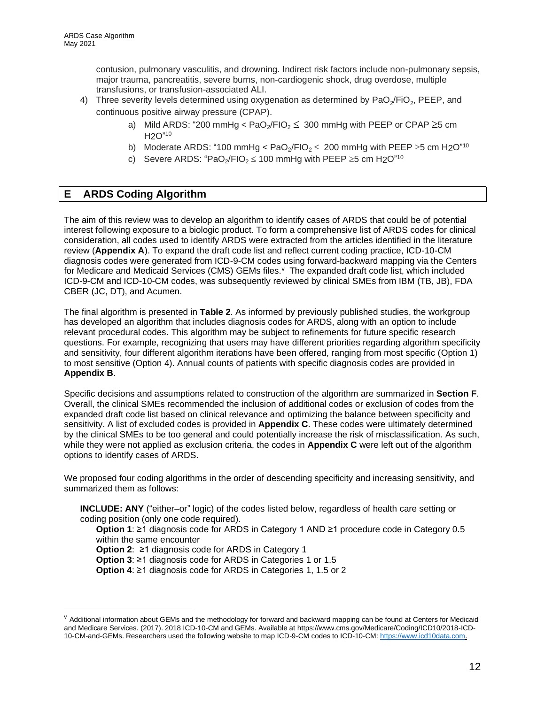contusion, pulmonary vasculitis, and drowning. Indirect risk factors include non-pulmonary sepsis, major trauma, pancreatitis, severe burns, non-cardiogenic shock, drug overdose, multiple transfusions, or transfusion-associated ALI.

- 4) Three severity levels determined using oxygenation as determined by PaO<sub>2</sub>/FiO<sub>2</sub>, PEEP, and continuous positive airway pressure (CPAP).
	- a) Mild ARDS: "200 mmHg < PaO<sub>2</sub>/FIO<sub>2</sub>  $\leq$  300 mmHg with PEEP or CPAP  $\geq$ 5 cm H2O" 10
	- b) Moderate ARDS: "100 mmHg < PaO $_2$ /FIO $_2$   $\leq$  200 mmHg with PEEP  $\geq$ 5 cm H $2$ O" $^{10}$
	- c) Severe ARDS: "PaO $_2$ /FIO $_2$   $\leq$  100 mmHg with PEEP  $\geq$ 5 cm H2O" $^{10}$

## <span id="page-11-0"></span>**E ARDS Coding Algorithm**

The aim of this review was to develop an algorithm to identify cases of ARDS that could be of potential interest following exposure to a biologic product. To form a comprehensive list of ARDS codes for clinical consideration, all codes used to identify ARDS were extracted from the articles identified in the literature review (**Appendix A**). To expand the draft code list and reflect current coding practice, ICD-10-CM diagnosis codes were generated from ICD-9-CM codes using forward-backward mapping via the Centers for Medicare and Medicaid Services (CMS) GEMs files. *V* The expanded draft code list, which included ICD-9-CM and ICD-10-CM codes, was subsequently reviewed by clinical SMEs from IBM (TB, JB), FDA CBER (JC, DT), and Acumen.

The final algorithm is presented in **[Table 2](#page-12-0)**. As informed by previously published studies, the workgroup has developed an algorithm that includes diagnosis codes for ARDS, along with an option to include relevant procedural codes. This algorithm may be subject to refinements for future specific research questions. For example, recognizing that users may have different priorities regarding algorithm specificity and sensitivity, four different algorithm iterations have been offered, ranging from most specific (Option 1) to most sensitive (Option 4). Annual counts of patients with specific diagnosis codes are provided in **Appendix B**.

Specific decisions and assumptions related to construction of the algorithm are summarized in **Section F**. Overall, the clinical SMEs recommended the inclusion of additional codes or exclusion of codes from the expanded draft code list based on clinical relevance and optimizing the balance between specificity and sensitivity. A list of excluded codes is provided in **Appendix C**. These codes were ultimately determined by the clinical SMEs to be too general and could potentially increase the risk of misclassification. As such, while they were not applied as exclusion criteria, the codes in **Appendix C** were left out of the algorithm options to identify cases of ARDS.

We proposed four coding algorithms in the order of descending specificity and increasing sensitivity, and summarized them as follows:

**INCLUDE: ANY** ("either–or" logic) of the codes listed below, regardless of health care setting or coding position (only one code required).

**Option 1**: ≥1 diagnosis code for ARDS in Category 1 AND ≥1 procedure code in Category 0.5 within the same encounter

**Option 2**: ≥1 diagnosis code for ARDS in Category 1

**Option 3**: ≥1 diagnosis code for ARDS in Categories 1 or 1.5

**Option 4**: ≥1 diagnosis code for ARDS in Categories 1, 1.5 or 2

<sup>&</sup>lt;sup>V</sup> Additional information about GEMs and the methodology for forward and backward mapping can be found at Centers for Medicaid and Medicare Services. (2017). 2018 ICD-10-CM and GEMs. Available at https://www.cms.gov/Medicare/Coding/ICD10/2018-ICD-10-CM-and-GEMs. Researchers used the following website to map ICD-9-CM codes to ICD-10-CM[: https://www.icd10data.com.](https://www.icd10data.com/)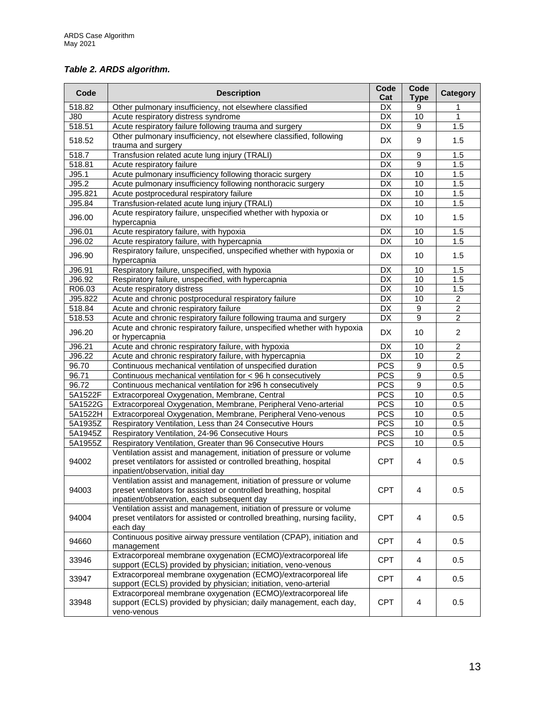## <span id="page-12-0"></span>*Table 2. ARDS algorithm.*

| Code       | <b>Description</b>                                                                                                                       | Code<br>Cat      | Code<br><b>Type</b> | <b>Category</b> |
|------------|------------------------------------------------------------------------------------------------------------------------------------------|------------------|---------------------|-----------------|
| 518.82     | Other pulmonary insufficiency, not elsewhere classified                                                                                  | <b>DX</b>        | 9                   | 1               |
| <b>J80</b> | Acute respiratory distress syndrome                                                                                                      | DX               | 10                  | 1               |
| 518.51     | Acute respiratory failure following trauma and surgery                                                                                   | DX               | 9                   | 1.5             |
|            | Other pulmonary insufficiency, not elsewhere classified, following                                                                       |                  |                     |                 |
| 518.52     | trauma and surgery                                                                                                                       | DX               | 9                   | 1.5             |
| 518.7      | Transfusion related acute lung injury (TRALI)                                                                                            | DX               | $\boldsymbol{9}$    | 1.5             |
| 518.81     | Acute respiratory failure                                                                                                                | DX               | 9                   | 1.5             |
| J95.1      | Acute pulmonary insufficiency following thoracic surgery                                                                                 | DX               | 10                  | 1.5             |
| J95.2      | Acute pulmonary insufficiency following nonthoracic surgery                                                                              | DX               | 10                  | 1.5             |
| J95.821    | Acute postprocedural respiratory failure                                                                                                 | DX               | 10                  | 1.5             |
| J95.84     | Transfusion-related acute lung injury (TRALI)                                                                                            | DX               | 10                  | 1.5             |
| J96.00     | Acute respiratory failure, unspecified whether with hypoxia or                                                                           | DX               | 10                  | 1.5             |
|            | hypercapnia                                                                                                                              |                  |                     |                 |
| J96.01     | Acute respiratory failure, with hypoxia                                                                                                  | DX               | 10                  | 1.5             |
| J96.02     | Acute respiratory failure, with hypercapnia                                                                                              | DX               | 10                  | 1.5             |
| J96.90     | Respiratory failure, unspecified, unspecified whether with hypoxia or                                                                    | <b>DX</b>        | 10                  | 1.5             |
|            | hypercapnia                                                                                                                              |                  |                     |                 |
| J96.91     | Respiratory failure, unspecified, with hypoxia                                                                                           | DX               | 10                  | 1.5             |
| J96.92     | Respiratory failure, unspecified, with hypercapnia                                                                                       | DX               | 10                  | 1.5             |
| R06.03     | Acute respiratory distress                                                                                                               | DX               | 10                  | 1.5             |
| J95.822    | Acute and chronic postprocedural respiratory failure                                                                                     | <b>DX</b>        | 10                  | $\overline{2}$  |
| 518.84     | Acute and chronic respiratory failure                                                                                                    | DX               | 9                   | $\overline{c}$  |
| 518.53     | Acute and chronic respiratory failure following trauma and surgery                                                                       | DX               | $\boldsymbol{9}$    | $\overline{2}$  |
| J96.20     | Acute and chronic respiratory failure, unspecified whether with hypoxia                                                                  | DX               | 10                  | $\overline{2}$  |
|            | or hypercapnia                                                                                                                           |                  |                     |                 |
| J96.21     | Acute and chronic respiratory failure, with hypoxia                                                                                      | <b>DX</b>        | 10                  | $\overline{2}$  |
| J96.22     | Acute and chronic respiratory failure, with hypercapnia                                                                                  | DX               | 10                  | 2               |
| 96.70      | Continuous mechanical ventilation of unspecified duration                                                                                | <b>PCS</b>       | 9                   | 0.5             |
| 96.71      | Continuous mechanical ventilation for < 96 h consecutively                                                                               | <b>PCS</b>       | $\overline{9}$<br>9 | 0.5             |
| 96.72      | Continuous mechanical ventilation for ≥96 h consecutively                                                                                | <b>PCS</b>       |                     | 0.5             |
| 5A1522F    | Extracorporeal Oxygenation, Membrane, Central                                                                                            | $\overline{PCS}$ | 10                  | 0.5             |
| 5A1522G    | Extracorporeal Oxygenation, Membrane, Peripheral Veno-arterial                                                                           | <b>PCS</b>       | 10                  | 0.5             |
| 5A1522H    | Extracorporeal Oxygenation, Membrane, Peripheral Veno-venous                                                                             | <b>PCS</b>       | 10                  | 0.5             |
| 5A1935Z    | Respiratory Ventilation, Less than 24 Consecutive Hours                                                                                  | <b>PCS</b>       | 10                  | 0.5             |
| 5A1945Z    | Respiratory Ventilation, 24-96 Consecutive Hours                                                                                         | <b>PCS</b>       | 10                  | 0.5             |
| 5A1955Z    | Respiratory Ventilation, Greater than 96 Consecutive Hours                                                                               | <b>PCS</b>       | 10                  | 0.5             |
| 94002      | Ventilation assist and management, initiation of pressure or volume<br>preset ventilators for assisted or controlled breathing, hospital | <b>CPT</b>       | 4                   | 0.5             |
|            | inpatient/observation, initial day<br>Ventilation assist and management, initiation of pressure or volume                                |                  |                     |                 |
| 94003      | preset ventilators for assisted or controlled breathing, hospital                                                                        | <b>CPT</b>       | 4                   | 0.5             |
|            | inpatient/observation, each subsequent day                                                                                               |                  |                     |                 |
|            | Ventilation assist and management, initiation of pressure or volume                                                                      |                  |                     |                 |
| 94004      | preset ventilators for assisted or controlled breathing, nursing facility,                                                               | <b>CPT</b>       | 4                   | 0.5             |
|            | each day                                                                                                                                 |                  |                     |                 |
|            | Continuous positive airway pressure ventilation (CPAP), initiation and                                                                   |                  |                     |                 |
| 94660      | management                                                                                                                               | <b>CPT</b>       | 4                   | 0.5             |
|            | Extracorporeal membrane oxygenation (ECMO)/extracorporeal life                                                                           |                  |                     |                 |
| 33946      | support (ECLS) provided by physician; initiation, veno-venous                                                                            | <b>CPT</b>       | 4                   | 0.5             |
|            | Extracorporeal membrane oxygenation (ECMO)/extracorporeal life                                                                           |                  |                     |                 |
| 33947      | support (ECLS) provided by physician; initiation, veno-arterial                                                                          | <b>CPT</b>       | 4                   | 0.5             |
|            | Extracorporeal membrane oxygenation (ECMO)/extracorporeal life                                                                           |                  |                     |                 |
| 33948      | support (ECLS) provided by physician; daily management, each day,                                                                        | <b>CPT</b>       | 4                   | 0.5             |
|            | veno-venous                                                                                                                              |                  |                     |                 |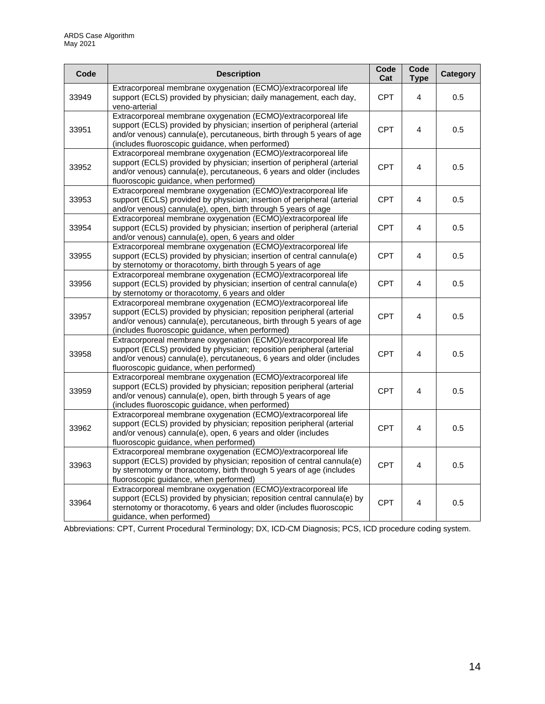| Code  | <b>Description</b>                                                                                                                                                                                                                                                     | Code<br>Cat | Code<br><b>Type</b> | <b>Category</b> |
|-------|------------------------------------------------------------------------------------------------------------------------------------------------------------------------------------------------------------------------------------------------------------------------|-------------|---------------------|-----------------|
| 33949 | Extracorporeal membrane oxygenation (ECMO)/extracorporeal life<br>support (ECLS) provided by physician; daily management, each day,<br>veno-arterial                                                                                                                   | <b>CPT</b>  | 4                   | 0.5             |
| 33951 | Extracorporeal membrane oxygenation (ECMO)/extracorporeal life<br>support (ECLS) provided by physician; insertion of peripheral (arterial<br>and/or venous) cannula(e), percutaneous, birth through 5 years of age<br>(includes fluoroscopic guidance, when performed) | <b>CPT</b>  | $\overline{4}$      | 0.5             |
| 33952 | Extracorporeal membrane oxygenation (ECMO)/extracorporeal life<br>support (ECLS) provided by physician; insertion of peripheral (arterial<br>and/or venous) cannula(e), percutaneous, 6 years and older (includes<br>fluoroscopic guidance, when performed)            | <b>CPT</b>  | 4                   | 0.5             |
| 33953 | Extracorporeal membrane oxygenation (ECMO)/extracorporeal life<br>support (ECLS) provided by physician; insertion of peripheral (arterial<br>and/or venous) cannula(e), open, birth through 5 years of age                                                             | <b>CPT</b>  | $\overline{4}$      | 0.5             |
| 33954 | Extracorporeal membrane oxygenation (ECMO)/extracorporeal life<br>support (ECLS) provided by physician; insertion of peripheral (arterial<br>and/or venous) cannula(e), open, 6 years and older                                                                        | <b>CPT</b>  | 4                   | 0.5             |
| 33955 | Extracorporeal membrane oxygenation (ECMO)/extracorporeal life<br>support (ECLS) provided by physician; insertion of central cannula(e)<br>by sternotomy or thoracotomy, birth through 5 years of age                                                                  | <b>CPT</b>  | 4                   | 0.5             |
| 33956 | Extracorporeal membrane oxygenation (ECMO)/extracorporeal life<br>support (ECLS) provided by physician; insertion of central cannula(e)<br>by sternotomy or thoracotomy, 6 years and older                                                                             | <b>CPT</b>  | 4                   | 0.5             |
| 33957 | Extracorporeal membrane oxygenation (ECMO)/extracorporeal life<br>support (ECLS) provided by physician; reposition peripheral (arterial<br>and/or venous) cannula(e), percutaneous, birth through 5 years of age<br>(includes fluoroscopic quidance, when performed)   | <b>CPT</b>  | 4                   | 0.5             |
| 33958 | Extracorporeal membrane oxygenation (ECMO)/extracorporeal life<br>support (ECLS) provided by physician; reposition peripheral (arterial<br>and/or venous) cannula(e), percutaneous, 6 years and older (includes<br>fluoroscopic guidance, when performed)              | <b>CPT</b>  | 4                   | 0.5             |
| 33959 | Extracorporeal membrane oxygenation (ECMO)/extracorporeal life<br>support (ECLS) provided by physician; reposition peripheral (arterial<br>and/or venous) cannula(e), open, birth through 5 years of age<br>(includes fluoroscopic guidance, when performed)           | <b>CPT</b>  | 4                   | 0.5             |
| 33962 | Extracorporeal membrane oxygenation (ECMO)/extracorporeal life<br>support (ECLS) provided by physician; reposition peripheral (arterial<br>and/or venous) cannula(e), open, 6 years and older (includes<br>fluoroscopic guidance, when performed)                      | <b>CPT</b>  | 4                   | 0.5             |
| 33963 | Extracorporeal membrane oxygenation (ECMO)/extracorporeal life<br>support (ECLS) provided by physician; reposition of central cannula(e)<br>by sternotomy or thoracotomy, birth through 5 years of age (includes<br>fluoroscopic guidance, when performed)             | <b>CPT</b>  | 4                   | 0.5             |
| 33964 | Extracorporeal membrane oxygenation (ECMO)/extracorporeal life<br>support (ECLS) provided by physician; reposition central cannula(e) by<br>sternotomy or thoracotomy, 6 years and older (includes fluoroscopic<br>guidance, when performed)                           | <b>CPT</b>  | $\overline{4}$      | 0.5             |

Abbreviations: CPT, Current Procedural Terminology; DX, ICD-CM Diagnosis; PCS, ICD procedure coding system.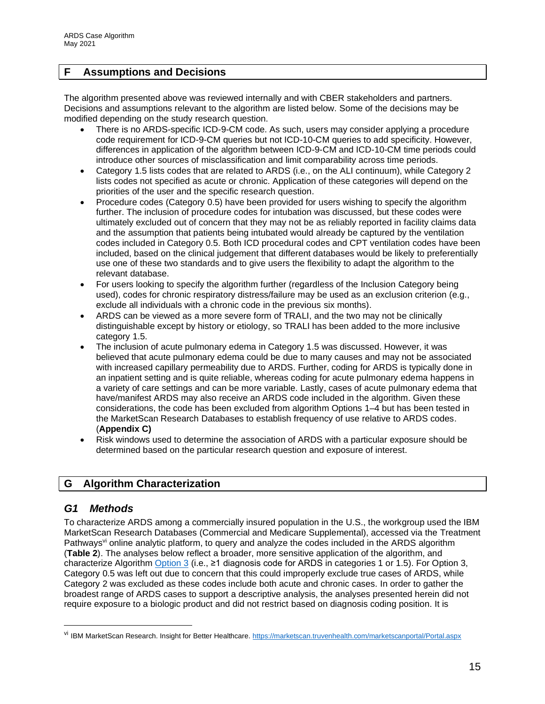## <span id="page-14-0"></span>**F Assumptions and Decisions**

The algorithm presented above was reviewed internally and with CBER stakeholders and partners. Decisions and assumptions relevant to the algorithm are listed below. Some of the decisions may be modified depending on the study research question.

- There is no ARDS-specific ICD-9-CM code. As such, users may consider applying a procedure code requirement for ICD-9-CM queries but not ICD-10-CM queries to add specificity. However, differences in application of the algorithm between ICD-9-CM and ICD-10-CM time periods could introduce other sources of misclassification and limit comparability across time periods.
- Category 1.5 lists codes that are related to ARDS (i.e., on the ALI continuum), while Category 2 lists codes not specified as acute or chronic. Application of these categories will depend on the priorities of the user and the specific research question.
- Procedure codes (Category 0.5) have been provided for users wishing to specify the algorithm further. The inclusion of procedure codes for intubation was discussed, but these codes were ultimately excluded out of concern that they may not be as reliably reported in facility claims data and the assumption that patients being intubated would already be captured by the ventilation codes included in Category 0.5. Both ICD procedural codes and CPT ventilation codes have been included, based on the clinical judgement that different databases would be likely to preferentially use one of these two standards and to give users the flexibility to adapt the algorithm to the relevant database.
- For users looking to specify the algorithm further (regardless of the Inclusion Category being used), codes for chronic respiratory distress/failure may be used as an exclusion criterion (e.g., exclude all individuals with a chronic code in the previous six months).
- ARDS can be viewed as a more severe form of TRALI, and the two may not be clinically distinguishable except by history or etiology, so TRALI has been added to the more inclusive category 1.5.
- The inclusion of acute pulmonary edema in Category 1.5 was discussed. However, it was believed that acute pulmonary edema could be due to many causes and may not be associated with increased capillary permeability due to ARDS. Further, coding for ARDS is typically done in an inpatient setting and is quite reliable, whereas coding for acute pulmonary edema happens in a variety of care settings and can be more variable. Lastly, cases of acute pulmonary edema that have/manifest ARDS may also receive an ARDS code included in the algorithm. Given these considerations, the code has been excluded from algorithm Options 1–4 but has been tested in the MarketScan Research Databases to establish frequency of use relative to ARDS codes. (**Appendix C)**
- Risk windows used to determine the association of ARDS with a particular exposure should be determined based on the particular research question and exposure of interest.

## <span id="page-14-1"></span>**G Algorithm Characterization**

## <span id="page-14-2"></span>*G1 Methods*

To characterize ARDS among a commercially insured population in the U.S., the workgroup used the IBM MarketScan Research Databases (Commercial and Medicare Supplemental), accessed via the Treatment Pathways<sup>vi</sup> online analytic platform, to query and analyze the codes included in the ARDS algorithm (**[Table 2](#page-12-0)**). The analyses below reflect a broader, more sensitive application of the algorithm, and characterize Algorithm [Option 3](#page-11-0) (i.e., ≥1 diagnosis code for ARDS in categories 1 or 1.5). For Option 3, Category 0.5 was left out due to concern that this could improperly exclude true cases of ARDS, while Category 2 was excluded as these codes include both acute and chronic cases. In order to gather the broadest range of ARDS cases to support a descriptive analysis, the analyses presented herein did not require exposure to a biologic product and did not restrict based on diagnosis coding position. It is

vi IBM MarketScan Research. Insight for Better Healthcare. <https://marketscan.truvenhealth.com/marketscanportal/Portal.aspx>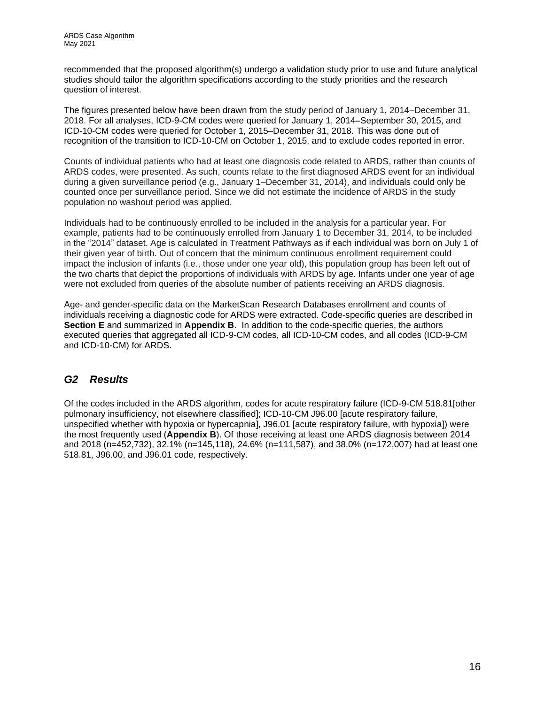recommended that the proposed algorithm(s) undergo a validation study prior to use and future analytical studies should tailor the algorithm specifications according to the study priorities and the research question of interest.

The figures presented below have been drawn from the study period of January 1, 2014–December 31, 2018. For all analyses, ICD-9-CM codes were queried for January 1, 2014–September 30, 2015, and ICD-10-CM codes were queried for October 1, 2015–December 31, 2018. This was done out of recognition of the transition to ICD-10-CM on October 1, 2015, and to exclude codes reported in error.

Counts of individual patients who had at least one diagnosis code related to ARDS, rather than counts of ARDS codes, were presented. As such, counts relate to the first diagnosed ARDS event for an individual during a given surveillance period (e.g., January 1–December 31, 2014), and individuals could only be counted once per surveillance period. Since we did not estimate the incidence of ARDS in the study population no washout period was applied.

Individuals had to be continuously enrolled to be included in the analysis for a particular year. For example, patients had to be continuously enrolled from January 1 to December 31, 2014, to be included in the "2014" dataset. Age is calculated in Treatment Pathways as if each individual was born on July 1 of their given year of birth. Out of concern that the minimum continuous enrollment requirement could impact the inclusion of infants (i.e., those under one year old), this population group has been left out of the two charts that depict the proportions of individuals with ARDS by age. Infants under one year of age were not excluded from queries of the absolute number of patients receiving an ARDS diagnosis.

Age- and gender-specific data on the MarketScan Research Databases enrollment and counts of individuals receiving a diagnostic code for ARDS were extracted. Code-specific queries are described in **Section E** and summarized in **Appendix B**. In addition to the code-specific queries, the authors executed queries that aggregated all ICD-9-CM codes, all ICD-10-CM codes, and all codes (ICD-9-CM and ICD-10-CM) for ARDS.

## <span id="page-15-0"></span>*G2 Results*

Of the codes included in the ARDS algorithm, codes for acute respiratory failure (ICD-9-CM 518.81[other pulmonary insufficiency, not elsewhere classified]; ICD-10-CM J96.00 [acute respiratory failure, unspecified whether with hypoxia or hypercapnia], J96.01 [acute respiratory failure, with hypoxia]) were the most frequently used (**Appendix B**). Of those receiving at least one ARDS diagnosis between 2014 and 2018 (n=452,732), 32.1% (n=145,118), 24.6% (n=111,587), and 38.0% (n=172,007) had at least one 518.81, J96.00, and J96.01 code, respectively.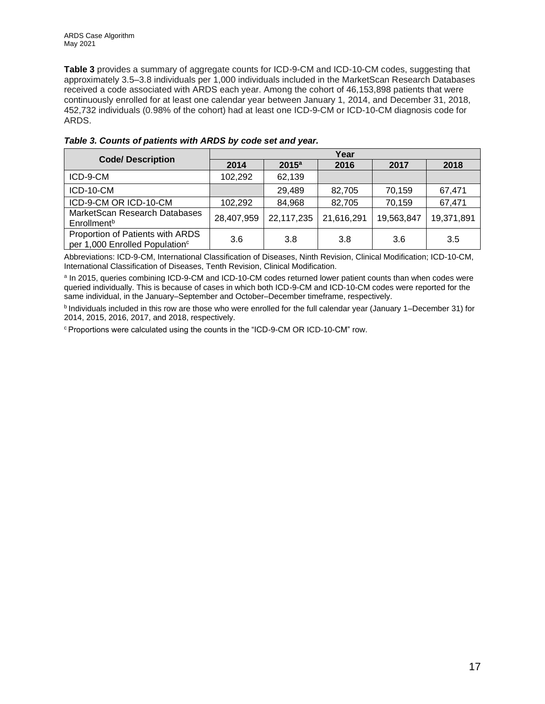**[Table 3](#page-16-0)** provides a summary of aggregate counts for ICD-9-CM and ICD-10-CM codes, suggesting that approximately 3.5–3.8 individuals per 1,000 individuals included in the MarketScan Research Databases received a code associated with ARDS each year. Among the cohort of 46,153,898 patients that were continuously enrolled for at least one calendar year between January 1, 2014, and December 31, 2018, 452,732 individuals (0.98% of the cohort) had at least one ICD-9-CM or ICD-10-CM diagnosis code for ARDS.

|                                                                                | Year       |            |            |            |            |  |  |
|--------------------------------------------------------------------------------|------------|------------|------------|------------|------------|--|--|
| <b>Code/ Description</b>                                                       | 2014       | $2015^a$   | 2016       | 2017       | 2018       |  |  |
| ICD-9-CM                                                                       | 102,292    | 62,139     |            |            |            |  |  |
| ICD-10-CM                                                                      |            | 29,489     | 82,705     | 70,159     | 67,471     |  |  |
| ICD-9-CM OR ICD-10-CM                                                          | 102,292    | 84,968     | 82,705     | 70,159     | 67,471     |  |  |
| MarketScan Research Databases<br>Enrollment <sup>b</sup>                       | 28,407,959 | 22,117,235 | 21,616,291 | 19,563,847 | 19,371,891 |  |  |
| Proportion of Patients with ARDS<br>per 1,000 Enrolled Population <sup>c</sup> | 3.6        | 3.8        | 3.8        | 3.6        | 3.5        |  |  |

<span id="page-16-0"></span>*Table 3. Counts of patients with ARDS by code set and year.*

Abbreviations: ICD-9-CM, International Classification of Diseases, Ninth Revision, Clinical Modification; ICD-10-CM, International Classification of Diseases, Tenth Revision, Clinical Modification.

a In 2015, queries combining ICD-9-CM and ICD-10-CM codes returned lower patient counts than when codes were queried individually. This is because of cases in which both ICD-9-CM and ICD-10-CM codes were reported for the same individual, in the January–September and October–December timeframe, respectively.

b Individuals included in this row are those who were enrolled for the full calendar year (January 1–December 31) for 2014, 2015, 2016, 2017, and 2018, respectively.

c Proportions were calculated using the counts in the "ICD-9-CM OR ICD-10-CM" row.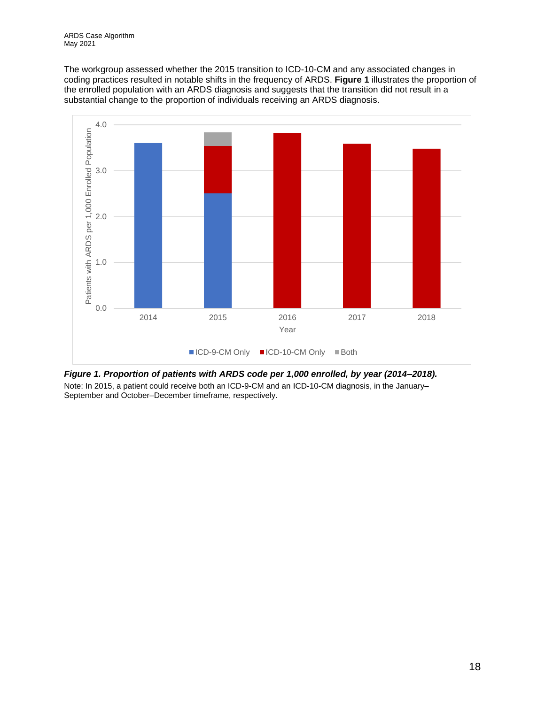The workgroup assessed whether the 2015 transition to ICD-10-CM and any associated changes in coding practices resulted in notable shifts in the frequency of ARDS. **[Figure 1](#page-17-0)** illustrates the proportion of the enrolled population with an ARDS diagnosis and suggests that the transition did not result in a substantial change to the proportion of individuals receiving an ARDS diagnosis.



<span id="page-17-0"></span>*Figure 1. Proportion of patients with ARDS code per 1,000 enrolled, by year (2014–2018).* Note: In 2015, a patient could receive both an ICD-9-CM and an ICD-10-CM diagnosis, in the January– September and October–December timeframe, respectively.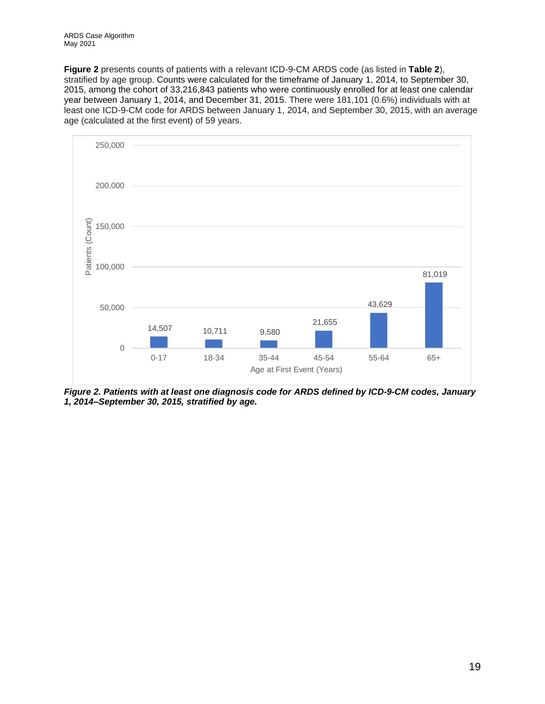ARDS Case Algorithm May 2021

**[Figure 2](#page-18-0)** presents counts of patients with a relevant ICD-9-CM ARDS code (as listed in **[Table 2](#page-12-0)**), stratified by age group. Counts were calculated for the timeframe of January 1, 2014, to September 30, 2015, among the cohort of 33,216,843 patients who were continuously enrolled for at least one calendar year between January 1, 2014, and December 31, 2015. There were 181,101 (0.6%) individuals with at least one ICD-9-CM code for ARDS between January 1, 2014, and September 30, 2015, with an average age (calculated at the first event) of 59 years.



<span id="page-18-0"></span>*Figure 2. Patients with at least one diagnosis code for ARDS defined by ICD-9-CM codes, January 1, 2014–September 30, 2015, stratified by age.*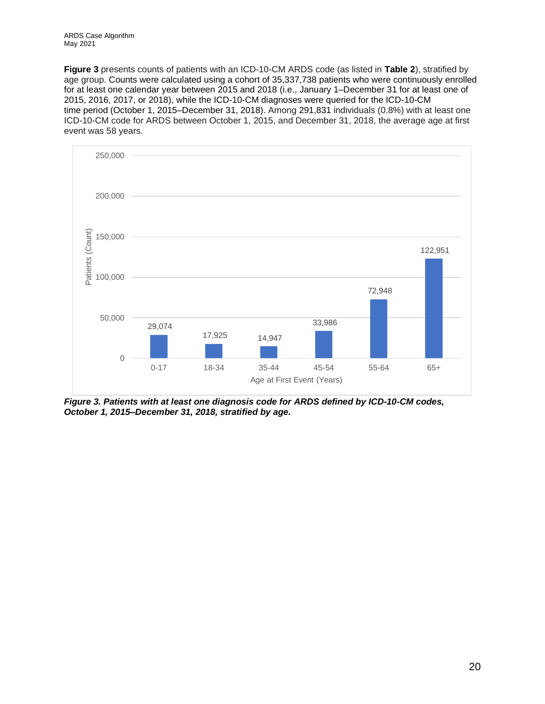ARDS Case Algorithm May 2021

**[Figure 3](#page-19-0)** presents counts of patients with an ICD-10-CM ARDS code (as listed in **[Table 2](#page-12-0)**), stratified by age group. Counts were calculated using a cohort of 35,337,738 patients who were continuously enrolled for at least one calendar year between 2015 and 2018 (i.e., January 1–December 31 for at least one of 2015, 2016, 2017, or 2018), while the ICD-10-CM diagnoses were queried for the ICD-10-CM time period (October 1, 2015–December 31, 2018). Among 291,831 individuals (0.8%) with at least one ICD-10-CM code for ARDS between October 1, 2015, and December 31, 2018, the average age at first event was 58 years.



<span id="page-19-0"></span>*Figure 3. Patients with at least one diagnosis code for ARDS defined by ICD-10-CM codes, October 1, 2015–December 31, 2018, stratified by age.*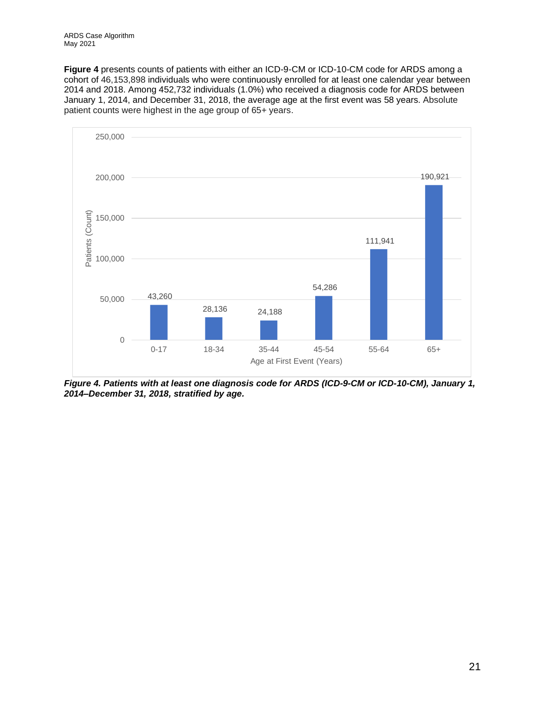**[Figure 4](#page-20-0)** presents counts of patients with either an ICD-9-CM or ICD-10-CM code for ARDS among a cohort of 46,153,898 individuals who were continuously enrolled for at least one calendar year between 2014 and 2018. Among 452,732 individuals (1.0%) who received a diagnosis code for ARDS between January 1, 2014, and December 31, 2018, the average age at the first event was 58 years. Absolute patient counts were highest in the age group of 65+ years.



<span id="page-20-0"></span>*Figure 4. Patients with at least one diagnosis code for ARDS (ICD-9-CM or ICD-10-CM), January 1, 2014–December 31, 2018, stratified by age.*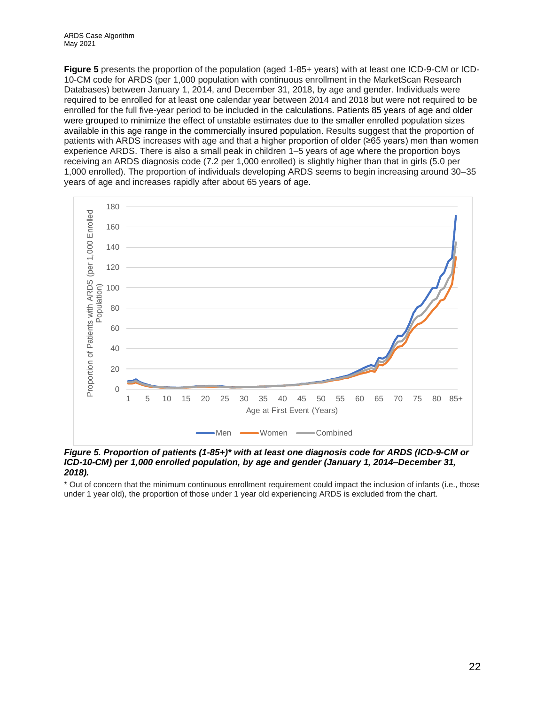**[Figure 5](#page-21-0)** presents the proportion of the population (aged 1-85+ years) with at least one ICD-9-CM or ICD-10-CM code for ARDS (per 1,000 population with continuous enrollment in the MarketScan Research Databases) between January 1, 2014, and December 31, 2018, by age and gender. Individuals were required to be enrolled for at least one calendar year between 2014 and 2018 but were not required to be enrolled for the full five-year period to be included in the calculations. Patients 85 years of age and older were grouped to minimize the effect of unstable estimates due to the smaller enrolled population sizes available in this age range in the commercially insured population. Results suggest that the proportion of patients with ARDS increases with age and that a higher proportion of older (≥65 years) men than women experience ARDS. There is also a small peak in children 1–5 years of age where the proportion boys receiving an ARDS diagnosis code (7.2 per 1,000 enrolled) is slightly higher than that in girls (5.0 per 1,000 enrolled). The proportion of individuals developing ARDS seems to begin increasing around 30–35 years of age and increases rapidly after about 65 years of age.



<span id="page-21-0"></span>*Figure 5. Proportion of patients (1-85+)\* with at least one diagnosis code for ARDS (ICD-9-CM or ICD-10-CM) per 1,000 enrolled population, by age and gender (January 1, 2014–December 31, 2018).*

\* Out of concern that the minimum continuous enrollment requirement could impact the inclusion of infants (i.e., those under 1 year old), the proportion of those under 1 year old experiencing ARDS is excluded from the chart.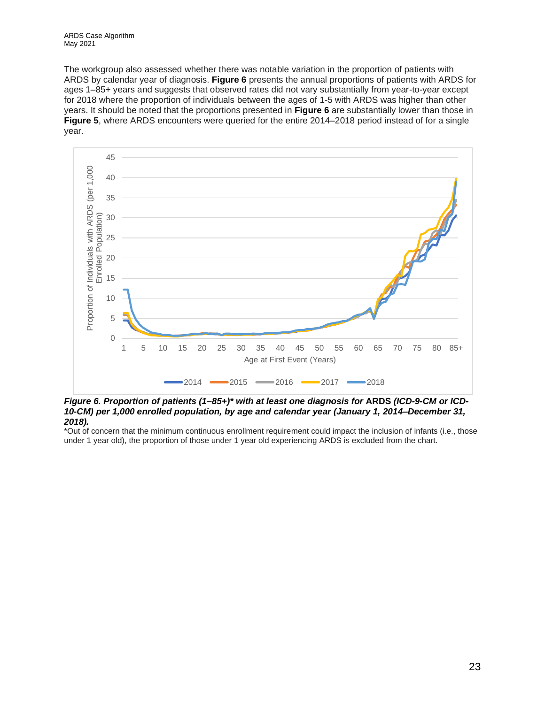ARDS Case Algorithm May 2021

The workgroup also assessed whether there was notable variation in the proportion of patients with ARDS by calendar year of diagnosis. **[Figure 6](#page-22-0)** presents the annual proportions of patients with ARDS for ages 1–85+ years and suggests that observed rates did not vary substantially from year-to-year except for 2018 where the proportion of individuals between the ages of 1-5 with ARDS was higher than other years. It should be noted that the proportions presented in **[Figure 6](#page-22-0)** are substantially lower than those in **[Figure 5](#page-21-0)**, where ARDS encounters were queried for the entire 2014–2018 period instead of for a single year.



<span id="page-22-0"></span>*Figure 6. Proportion of patients (1–85+)\* with at least one diagnosis for* **ARDS** *(ICD-9-CM or ICD-10-CM) per 1,000 enrolled population, by age and calendar year (January 1, 2014–December 31, 2018).*

\*Out of concern that the minimum continuous enrollment requirement could impact the inclusion of infants (i.e., those under 1 year old), the proportion of those under 1 year old experiencing ARDS is excluded from the chart.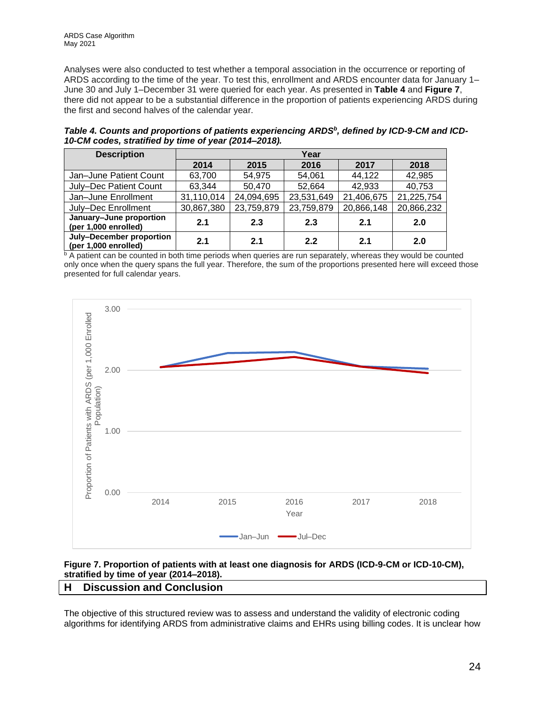Analyses were also conducted to test whether a temporal association in the occurrence or reporting of ARDS according to the time of the year. To test this, enrollment and ARDS encounter data for January 1– June 30 and July 1–December 31 were queried for each year. As presented in **[Table 4](#page-23-1)** and **[Figure 7](#page-23-2)**, there did not appear to be a substantial difference in the proportion of patients experiencing ARDS during the first and second halves of the calendar year.

<span id="page-23-1"></span>*Table 4. Counts and proportions of patients experiencing ARDS<sup>b</sup> , defined by ICD-9-CM and ICD-10-CM codes, stratified by time of year (2014–2018).*

| <b>Description</b>                               | Year       |            |            |            |            |  |  |
|--------------------------------------------------|------------|------------|------------|------------|------------|--|--|
|                                                  | 2014       | 2015       | 2016       | 2017       | 2018       |  |  |
| Jan-June Patient Count                           | 63,700     | 54,975     | 54,061     | 44,122     | 42,985     |  |  |
| July-Dec Patient Count                           | 63,344     | 50,470     | 52,664     | 42,933     | 40,753     |  |  |
| Jan-June Enrollment                              | 31,110,014 | 24,094,695 | 23,531,649 | 21,406,675 | 21,225,754 |  |  |
| July-Dec Enrollment                              | 30,867,380 | 23,759,879 | 23,759,879 | 20,866,148 | 20,866,232 |  |  |
| January-June proportion<br>(per 1,000 enrolled)  | 2.1        | 2.3        | 2.3        | 2.1        | 2.0        |  |  |
| July-December proportion<br>(per 1,000 enrolled) | 2.1        | 2.1        | 2.2        | 2.1        | 2.0        |  |  |

b A patient can be counted in both time periods when queries are run separately, whereas they would be counted only once when the query spans the full year. Therefore, the sum of the proportions presented here will exceed those presented for full calendar years.



#### <span id="page-23-2"></span>**Figure 7. Proportion of patients with at least one diagnosis for ARDS (ICD-9-CM or ICD-10-CM), stratified by time of year (2014–2018).**

#### <span id="page-23-0"></span>**H Discussion and Conclusion**

The objective of this structured review was to assess and understand the validity of electronic coding algorithms for identifying ARDS from administrative claims and EHRs using billing codes. It is unclear how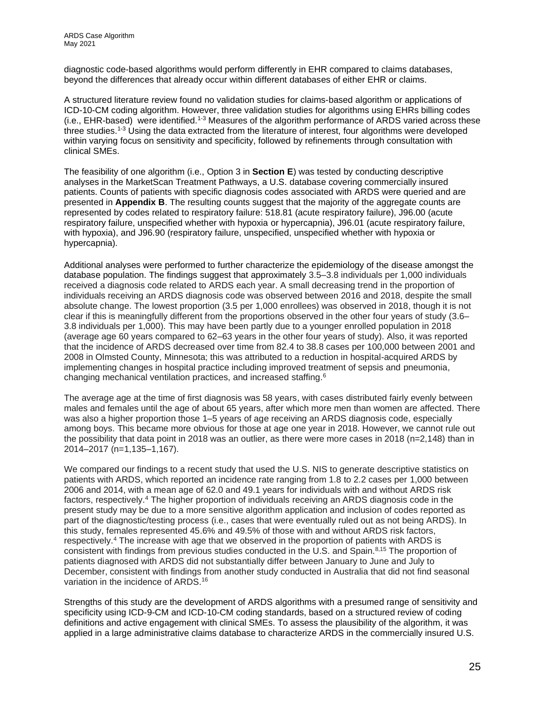diagnostic code-based algorithms would perform differently in EHR compared to claims databases, beyond the differences that already occur within different databases of either EHR or claims.

A structured literature review found no validation studies for claims-based algorithm or applications of ICD-10-CM coding algorithm. However, three validation studies for algorithms using EHRs billing codes (i.e., EHR-based) were identified.<sup>1-3</sup> Measures of the algorithm performance of ARDS varied across these three studies.<sup>1-3</sup> Using the data extracted from the literature of interest, four algorithms were developed within varying focus on sensitivity and specificity, followed by refinements through consultation with clinical SMEs.

The feasibility of one algorithm (i.e., Option 3 in **Section E**) was tested by conducting descriptive analyses in the MarketScan Treatment Pathways, a U.S. database covering commercially insured patients. Counts of patients with specific diagnosis codes associated with ARDS were queried and are presented in **Appendix B**. The resulting counts suggest that the majority of the aggregate counts are represented by codes related to respiratory failure: 518.81 (acute respiratory failure), J96.00 (acute respiratory failure, unspecified whether with hypoxia or hypercapnia), J96.01 (acute respiratory failure, with hypoxia), and J96.90 (respiratory failure, unspecified, unspecified whether with hypoxia or hypercapnia).

Additional analyses were performed to further characterize the epidemiology of the disease amongst the database population. The findings suggest that approximately 3.5–3.8 individuals per 1,000 individuals received a diagnosis code related to ARDS each year. A small decreasing trend in the proportion of individuals receiving an ARDS diagnosis code was observed between 2016 and 2018, despite the small absolute change. The lowest proportion (3.5 per 1,000 enrollees) was observed in 2018, though it is not clear if this is meaningfully different from the proportions observed in the other four years of study (3.6– 3.8 individuals per 1,000). This may have been partly due to a younger enrolled population in 2018 (average age 60 years compared to 62–63 years in the other four years of study). Also, it was reported that the incidence of ARDS decreased over time from 82.4 to 38.8 cases per 100,000 between 2001 and 2008 in Olmsted County, Minnesota; this was attributed to a reduction in hospital-acquired ARDS by implementing changes in hospital practice including improved treatment of sepsis and pneumonia, changing mechanical ventilation practices, and increased staffing.<sup>6</sup>

The average age at the time of first diagnosis was 58 years, with cases distributed fairly evenly between males and females until the age of about 65 years, after which more men than women are affected. There was also a higher proportion those 1–5 years of age receiving an ARDS diagnosis code, especially among boys. This became more obvious for those at age one year in 2018. However, we cannot rule out the possibility that data point in 2018 was an outlier, as there were more cases in 2018 (n=2,148) than in 2014–2017 (n=1,135–1,167).

We compared our findings to a recent study that used the U.S. NIS to generate descriptive statistics on patients with ARDS, which reported an incidence rate ranging from 1.8 to 2.2 cases per 1,000 between 2006 and 2014, with a mean age of 62.0 and 49.1 years for individuals with and without ARDS risk factors, respectively.<sup>4</sup> The higher proportion of individuals receiving an ARDS diagnosis code in the present study may be due to a more sensitive algorithm application and inclusion of codes reported as part of the diagnostic/testing process (i.e., cases that were eventually ruled out as not being ARDS). In this study, females represented 45.6% and 49.5% of those with and without ARDS risk factors, respectively.<sup>4</sup> The increase with age that we observed in the proportion of patients with ARDS is consistent with findings from previous studies conducted in the U.S. and Spain.<sup>8,15</sup> The proportion of patients diagnosed with ARDS did not substantially differ between January to June and July to December, consistent with findings from another study conducted in Australia that did not find seasonal variation in the incidence of ARDS.<sup>16</sup>

Strengths of this study are the development of ARDS algorithms with a presumed range of sensitivity and specificity using ICD-9-CM and ICD-10-CM coding standards, based on a structured review of coding definitions and active engagement with clinical SMEs. To assess the plausibility of the algorithm, it was applied in a large administrative claims database to characterize ARDS in the commercially insured U.S.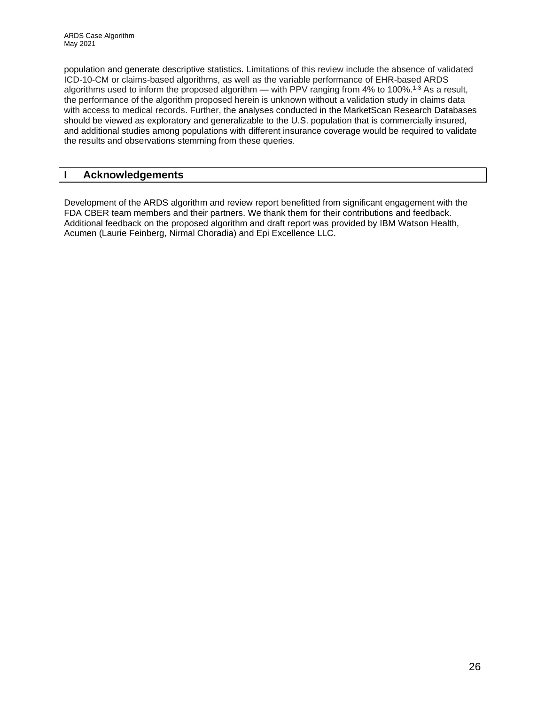population and generate descriptive statistics. Limitations of this review include the absence of validated ICD-10-CM or claims-based algorithms, as well as the variable performance of EHR-based ARDS algorithms used to inform the proposed algorithm — with PPV ranging from 4% to 100%.<sup>1-3</sup> As a result, the performance of the algorithm proposed herein is unknown without a validation study in claims data with access to medical records. Further, the analyses conducted in the MarketScan Research Databases should be viewed as exploratory and generalizable to the U.S. population that is commercially insured, and additional studies among populations with different insurance coverage would be required to validate the results and observations stemming from these queries.

## <span id="page-25-0"></span>**I Acknowledgements**

Development of the ARDS algorithm and review report benefitted from significant engagement with the FDA CBER team members and their partners. We thank them for their contributions and feedback. Additional feedback on the proposed algorithm and draft report was provided by IBM Watson Health, Acumen (Laurie Feinberg, Nirmal Choradia) and Epi Excellence LLC.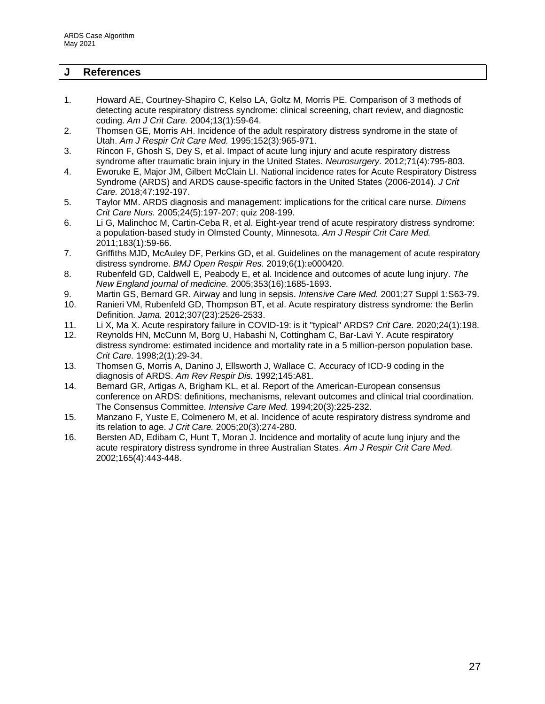#### <span id="page-26-0"></span>**J References**

- 1. Howard AE, Courtney-Shapiro C, Kelso LA, Goltz M, Morris PE. Comparison of 3 methods of detecting acute respiratory distress syndrome: clinical screening, chart review, and diagnostic coding. *Am J Crit Care.* 2004;13(1):59-64.
- 2. Thomsen GE, Morris AH. Incidence of the adult respiratory distress syndrome in the state of Utah. *Am J Respir Crit Care Med.* 1995;152(3):965-971.
- 3. Rincon F, Ghosh S, Dey S, et al. Impact of acute lung injury and acute respiratory distress syndrome after traumatic brain injury in the United States. *Neurosurgery.* 2012;71(4):795-803.
- 4. Eworuke E, Major JM, Gilbert McClain LI. National incidence rates for Acute Respiratory Distress Syndrome (ARDS) and ARDS cause-specific factors in the United States (2006-2014). *J Crit Care.* 2018;47:192-197.
- 5. Taylor MM. ARDS diagnosis and management: implications for the critical care nurse. *Dimens Crit Care Nurs.* 2005;24(5):197-207; quiz 208-199.
- 6. Li G, Malinchoc M, Cartin-Ceba R, et al. Eight-year trend of acute respiratory distress syndrome: a population-based study in Olmsted County, Minnesota. *Am J Respir Crit Care Med.*  2011;183(1):59-66.
- 7. Griffiths MJD, McAuley DF, Perkins GD, et al. Guidelines on the management of acute respiratory distress syndrome. *BMJ Open Respir Res.* 2019;6(1):e000420.
- 8. Rubenfeld GD, Caldwell E, Peabody E, et al. Incidence and outcomes of acute lung injury. *The New England journal of medicine.* 2005;353(16):1685-1693.
- 9. Martin GS, Bernard GR. Airway and lung in sepsis. *Intensive Care Med.* 2001;27 Suppl 1:S63-79.
- 10. Ranieri VM, Rubenfeld GD, Thompson BT, et al. Acute respiratory distress syndrome: the Berlin Definition. *Jama.* 2012;307(23):2526-2533.
- 11. Li X, Ma X. Acute respiratory failure in COVID-19: is it "typical" ARDS? *Crit Care.* 2020;24(1):198.
- 12. Reynolds HN, McCunn M, Borg U, Habashi N, Cottingham C, Bar-Lavi Y. Acute respiratory distress syndrome: estimated incidence and mortality rate in a 5 million-person population base. *Crit Care.* 1998;2(1):29-34.
- 13. Thomsen G, Morris A, Danino J, Ellsworth J, Wallace C. Accuracy of ICD-9 coding in the diagnosis of ARDS. *Am Rev Respir Dis.* 1992;145:A81.
- 14. Bernard GR, Artigas A, Brigham KL, et al. Report of the American-European consensus conference on ARDS: definitions, mechanisms, relevant outcomes and clinical trial coordination. The Consensus Committee. *Intensive Care Med.* 1994;20(3):225-232.
- 15. Manzano F, Yuste E, Colmenero M, et al. Incidence of acute respiratory distress syndrome and its relation to age. *J Crit Care.* 2005;20(3):274-280.
- 16. Bersten AD, Edibam C, Hunt T, Moran J. Incidence and mortality of acute lung injury and the acute respiratory distress syndrome in three Australian States. *Am J Respir Crit Care Med.*  2002;165(4):443-448.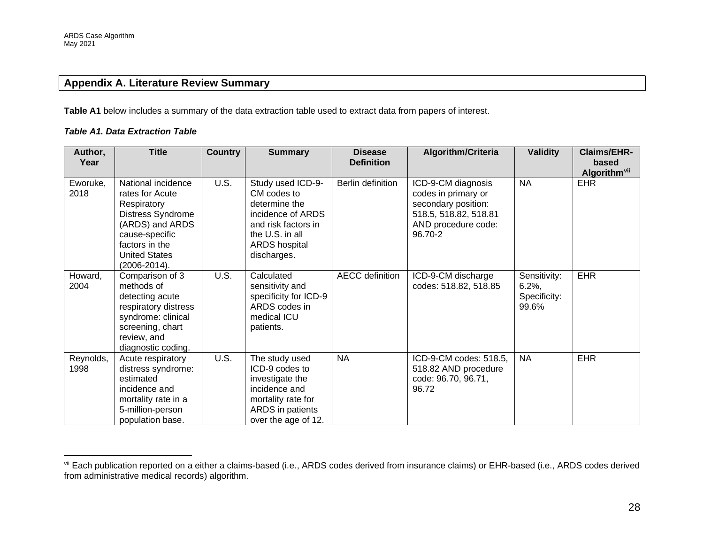## **Appendix A. Literature Review Summary**

**Table A1** below includes a summary of the data extraction table used to extract data from papers of interest.

#### *Table A1. Data Extraction Table*

<span id="page-27-0"></span>

| Author,<br>Year   | <b>Title</b>                                                                                                                                                                        | <b>Country</b> | <b>Summary</b>                                                                                                                                          | <b>Disease</b><br><b>Definition</b> | Algorithm/Criteria                                                                                                          | <b>Validity</b>                               | <b>Claims/EHR-</b><br>based<br>Algorithm <sup>vii</sup> |
|-------------------|-------------------------------------------------------------------------------------------------------------------------------------------------------------------------------------|----------------|---------------------------------------------------------------------------------------------------------------------------------------------------------|-------------------------------------|-----------------------------------------------------------------------------------------------------------------------------|-----------------------------------------------|---------------------------------------------------------|
| Eworuke,<br>2018  | National incidence<br>rates for Acute<br>Respiratory<br><b>Distress Syndrome</b><br>(ARDS) and ARDS<br>cause-specific<br>factors in the<br><b>United States</b><br>$(2006 - 2014).$ | U.S.           | Study used ICD-9-<br>CM codes to<br>determine the<br>incidence of ARDS<br>and risk factors in<br>the U.S. in all<br><b>ARDS</b> hospital<br>discharges. | Berlin definition                   | ICD-9-CM diagnosis<br>codes in primary or<br>secondary position:<br>518.5, 518.82, 518.81<br>AND procedure code:<br>96.70-2 | <b>NA</b>                                     | <b>EHR</b>                                              |
| Howard,<br>2004   | Comparison of 3<br>methods of<br>detecting acute<br>respiratory distress<br>syndrome: clinical<br>screening, chart<br>review, and<br>diagnostic coding.                             | U.S.           | Calculated<br>sensitivity and<br>specificity for ICD-9<br>ARDS codes in<br>medical ICU<br>patients.                                                     | <b>AECC</b> definition              | ICD-9-CM discharge<br>codes: 518.82, 518.85                                                                                 | Sensitivity:<br>6.2%<br>Specificity:<br>99.6% | <b>EHR</b>                                              |
| Reynolds,<br>1998 | Acute respiratory<br>distress syndrome:<br>estimated<br>incidence and<br>mortality rate in a<br>5-million-person<br>population base.                                                | U.S.           | The study used<br>ICD-9 codes to<br>investigate the<br>incidence and<br>mortality rate for<br>ARDS in patients<br>over the age of 12.                   | <b>NA</b>                           | ICD-9-CM codes: 518.5,<br>518.82 AND procedure<br>code: 96.70, 96.71,<br>96.72                                              | <b>NA</b>                                     | <b>EHR</b>                                              |

vii Each publication reported on a either a claims-based (i.e., ARDS codes derived from insurance claims) or EHR-based (i.e., ARDS codes derived from administrative medical records) algorithm.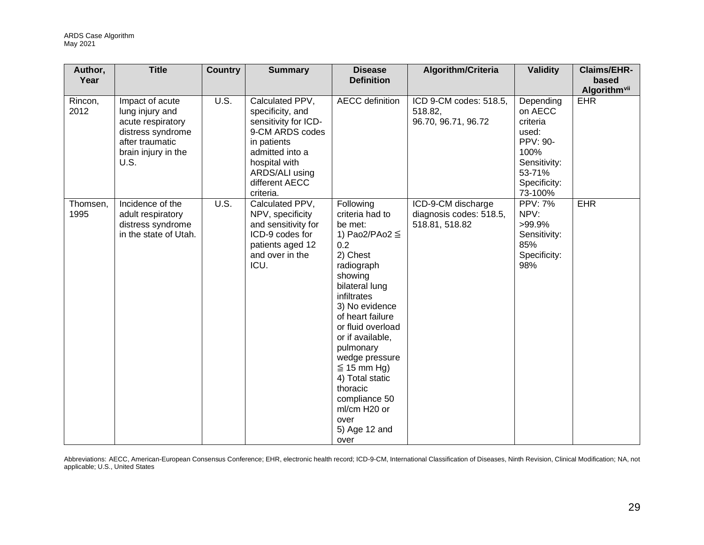| Author,<br>Year  | <b>Title</b>                                                                                                                   | <b>Country</b> | <b>Summary</b>                                                                                                                                                                     | <b>Disease</b><br><b>Definition</b>                                                                                                                                                                                                                                                                                                                                       | Algorithm/Criteria                                              | <b>Validity</b>                                                                                                    | <b>Claims/EHR-</b><br>based |
|------------------|--------------------------------------------------------------------------------------------------------------------------------|----------------|------------------------------------------------------------------------------------------------------------------------------------------------------------------------------------|---------------------------------------------------------------------------------------------------------------------------------------------------------------------------------------------------------------------------------------------------------------------------------------------------------------------------------------------------------------------------|-----------------------------------------------------------------|--------------------------------------------------------------------------------------------------------------------|-----------------------------|
|                  |                                                                                                                                |                |                                                                                                                                                                                    |                                                                                                                                                                                                                                                                                                                                                                           |                                                                 |                                                                                                                    | Algorithm <sup>vii</sup>    |
| Rincon,<br>2012  | Impact of acute<br>lung injury and<br>acute respiratory<br>distress syndrome<br>after traumatic<br>brain injury in the<br>U.S. | U.S.           | Calculated PPV,<br>specificity, and<br>sensitivity for ICD-<br>9-CM ARDS codes<br>in patients<br>admitted into a<br>hospital with<br>ARDS/ALI using<br>different AECC<br>criteria. | <b>AECC</b> definition                                                                                                                                                                                                                                                                                                                                                    | ICD 9-CM codes: 518.5,<br>518.82,<br>96.70, 96.71, 96.72        | Depending<br>on AECC<br>criteria<br>used:<br>PPV: 90-<br>100%<br>Sensitivity:<br>53-71%<br>Specificity:<br>73-100% | <b>EHR</b>                  |
| Thomsen,<br>1995 | Incidence of the<br>adult respiratory<br>distress syndrome<br>in the state of Utah.                                            | U.S.           | Calculated PPV,<br>NPV, specificity<br>and sensitivity for<br>ICD-9 codes for<br>patients aged 12<br>and over in the<br>ICU.                                                       | Following<br>criteria had to<br>be met:<br>1) Pao2/PAo2 ≦<br>0.2<br>2) Chest<br>radiograph<br>showing<br>bilateral lung<br>infiltrates<br>3) No evidence<br>of heart failure<br>or fluid overload<br>or if available,<br>pulmonary<br>wedge pressure<br>$\leq$ 15 mm Hg)<br>4) Total static<br>thoracic<br>compliance 50<br>ml/cm H20 or<br>over<br>5) Age 12 and<br>over | ICD-9-CM discharge<br>diagnosis codes: 518.5,<br>518.81, 518.82 | <b>PPV: 7%</b><br>NPV:<br>>99.9%<br>Sensitivity:<br>85%<br>Specificity:<br>98%                                     | <b>EHR</b>                  |

Abbreviations: AECC, American-European Consensus Conference; EHR, electronic health record; ICD-9-CM, International Classification of Diseases, Ninth Revision, Clinical Modification; NA, not applicable; U.S., United States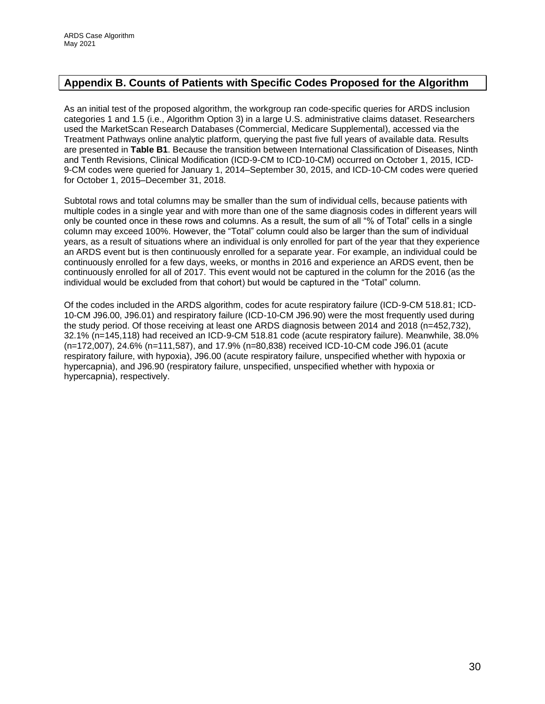## <span id="page-29-0"></span>**Appendix B. Counts of Patients with Specific Codes Proposed for the Algorithm**

As an initial test of the proposed algorithm, the workgroup ran code-specific queries for ARDS inclusion categories 1 and 1.5 (i.e., Algorithm Option 3) in a large U.S. administrative claims dataset. Researchers used the MarketScan Research Databases (Commercial, Medicare Supplemental), accessed via the Treatment Pathways online analytic platform, querying the past five full years of available data. Results are presented in **Table B1**. Because the transition between International Classification of Diseases, Ninth and Tenth Revisions, Clinical Modification (ICD-9-CM to ICD-10-CM) occurred on October 1, 2015, ICD-9-CM codes were queried for January 1, 2014–September 30, 2015, and ICD-10-CM codes were queried for October 1, 2015–December 31, 2018.

Subtotal rows and total columns may be smaller than the sum of individual cells, because patients with multiple codes in a single year and with more than one of the same diagnosis codes in different years will only be counted once in these rows and columns. As a result, the sum of all "% of Total" cells in a single column may exceed 100%. However, the "Total" column could also be larger than the sum of individual years, as a result of situations where an individual is only enrolled for part of the year that they experience an ARDS event but is then continuously enrolled for a separate year. For example, an individual could be continuously enrolled for a few days, weeks, or months in 2016 and experience an ARDS event, then be continuously enrolled for all of 2017. This event would not be captured in the column for the 2016 (as the individual would be excluded from that cohort) but would be captured in the "Total" column.

Of the codes included in the ARDS algorithm, codes for acute respiratory failure (ICD-9-CM 518.81; ICD-10-CM J96.00, J96.01) and respiratory failure (ICD-10-CM J96.90) were the most frequently used during the study period. Of those receiving at least one ARDS diagnosis between 2014 and 2018 (n=452,732), 32.1% (n=145,118) had received an ICD-9-CM 518.81 code (acute respiratory failure). Meanwhile, 38.0% (n=172,007), 24.6% (n=111,587), and 17.9% (n=80,838) received ICD-10-CM code J96.01 (acute respiratory failure, with hypoxia), J96.00 (acute respiratory failure, unspecified whether with hypoxia or hypercapnia), and J96.90 (respiratory failure, unspecified, unspecified whether with hypoxia or hypercapnia), respectively.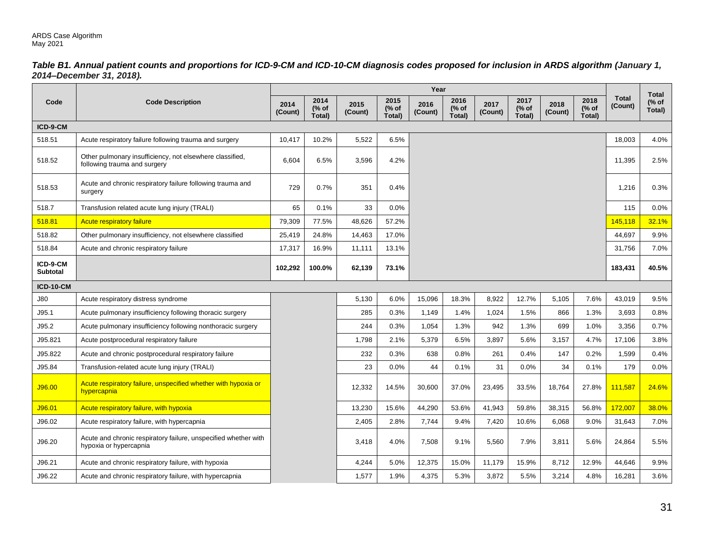#### *Table B1. Annual patient counts and proportions for ICD-9-CM and ICD-10-CM diagnosis codes proposed for inclusion in ARDS algorithm (January 1, 2014–December 31, 2018).*

|                             |                                                                                           | Year        |                          |                 |                         |                 |                         |                 |                         |                 |                         | Total                   |                 |
|-----------------------------|-------------------------------------------------------------------------------------------|-------------|--------------------------|-----------------|-------------------------|-----------------|-------------------------|-----------------|-------------------------|-----------------|-------------------------|-------------------------|-----------------|
| Code                        | <b>Code Description</b>                                                                   |             | 2014<br>(% of<br>Total)  | 2015<br>(Count) | 2015<br>(% of<br>Total) | 2016<br>(Count) | 2016<br>(% of<br>Total) | 2017<br>(Count) | 2017<br>(% of<br>Total) | 2018<br>(Count) | 2018<br>(% of<br>Total) | <b>Total</b><br>(Count) | (% of<br>Total) |
| ICD-9-CM                    |                                                                                           |             |                          |                 |                         |                 |                         |                 |                         |                 |                         |                         |                 |
| 518.51                      | Acute respiratory failure following trauma and surgery                                    |             | 10.2%                    | 5,522           | 6.5%                    |                 |                         |                 |                         |                 |                         | 18,003                  | 4.0%            |
| 518.52                      | Other pulmonary insufficiency, not elsewhere classified,<br>following trauma and surgery  | 6,604       | 6.5%                     | 3,596           | 4.2%                    |                 |                         |                 |                         |                 |                         | 11,395                  | 2.5%            |
| 518.53                      | Acute and chronic respiratory failure following trauma and<br>surgery                     | 729<br>0.7% |                          | 351             | 0.4%                    |                 |                         |                 |                         |                 |                         | 1,216                   | 0.3%            |
| 518.7                       | Transfusion related acute lung injury (TRALI)                                             | 65          | 0.1%                     | 33              | 0.0%                    |                 |                         |                 |                         |                 |                         | 115                     | 0.0%            |
| 518.81                      | <b>Acute respiratory failure</b>                                                          | 79,309      | 77.5%                    | 48,626          | 57.2%                   |                 |                         |                 |                         |                 |                         | 145,118                 | 32.1%           |
| 518.82                      | Other pulmonary insufficiency, not elsewhere classified                                   | 25,419      | 24.8%                    | 14,463          | 17.0%                   |                 |                         |                 |                         |                 |                         | 44,697                  | 9.9%            |
| 518.84                      | Acute and chronic respiratory failure                                                     | 17,317      | 16.9%<br>11,111<br>13.1% |                 |                         |                 |                         | 31,756          | 7.0%                    |                 |                         |                         |                 |
| ICD-9-CM<br><b>Subtotal</b> |                                                                                           | 102,292     | 100.0%                   | 62,139          | 73.1%                   |                 |                         |                 |                         |                 |                         | 183,431                 | 40.5%           |
| <b>ICD-10-CM</b>            |                                                                                           |             |                          |                 |                         |                 |                         |                 |                         |                 |                         |                         |                 |
| J80                         | Acute respiratory distress syndrome                                                       |             |                          | 5,130           | 6.0%                    | 15,096          | 18.3%                   | 8,922           | 12.7%                   | 5,105           | 7.6%                    | 43,019                  | 9.5%            |
| J95.1                       | Acute pulmonary insufficiency following thoracic surgery                                  |             |                          | 285             | 0.3%                    | 1,149           | 1.4%                    | 1,024           | 1.5%                    | 866             | 1.3%                    | 3,693                   | 0.8%            |
| J95.2                       | Acute pulmonary insufficiency following nonthoracic surgery                               |             |                          | 244             | 0.3%                    | 1,054           | 1.3%                    | 942             | 1.3%                    | 699             | 1.0%                    | 3,356                   | 0.7%            |
| J95.821                     | Acute postprocedural respiratory failure                                                  |             |                          | 1,798           | 2.1%                    | 5,379           | 6.5%                    | 3,897           | 5.6%                    | 3,157           | 4.7%                    | 17,106                  | 3.8%            |
| J95.822                     | Acute and chronic postprocedural respiratory failure                                      |             |                          | 232             | 0.3%                    | 638             | 0.8%                    | 261             | 0.4%                    | 147             | 0.2%                    | 1,599                   | 0.4%            |
| J95.84                      | Transfusion-related acute lung injury (TRALI)                                             |             |                          | 23              | 0.0%                    | 44              | 0.1%                    | 31              | 0.0%                    | 34              | 0.1%                    | 179                     | 0.0%            |
| J96.00                      | Acute respiratory failure, unspecified whether with hypoxia or<br>hypercapnia             |             |                          | 12,332          | 14.5%                   | 30,600          | 37.0%                   | 23,495          | 33.5%                   | 18,764          | 27.8%                   | 111,587                 | 24.6%           |
| J96.01                      | Acute respiratory failure, with hypoxia                                                   |             |                          | 13,230          | 15.6%                   | 44,290          | 53.6%                   | 41,943          | 59.8%                   | 38,315          | 56.8%                   | 172,007                 | 38.0%           |
| J96.02                      | Acute respiratory failure, with hypercapnia                                               |             |                          | 2.405           | 2.8%                    | 7.744           | 9.4%                    | 7,420           | 10.6%                   | 6.068           | 9.0%                    | 31,643                  | 7.0%            |
| J96.20                      | Acute and chronic respiratory failure, unspecified whether with<br>hypoxia or hypercapnia |             |                          | 3,418           | 4.0%                    | 7,508           | 9.1%                    | 5,560           | 7.9%                    | 3,811           | 5.6%                    | 24,864                  | 5.5%            |
| J96.21                      | Acute and chronic respiratory failure, with hypoxia                                       |             |                          | 4,244           | 5.0%                    | 12,375          | 15.0%                   | 11,179          | 15.9%                   | 8,712           | 12.9%                   | 44,646                  | 9.9%            |
| J96.22                      | Acute and chronic respiratory failure, with hypercapnia                                   |             |                          | 1,577           | 1.9%                    | 4,375           | 5.3%                    | 3,872           | 5.5%                    | 3,214           | 4.8%                    | 16,281                  | 3.6%            |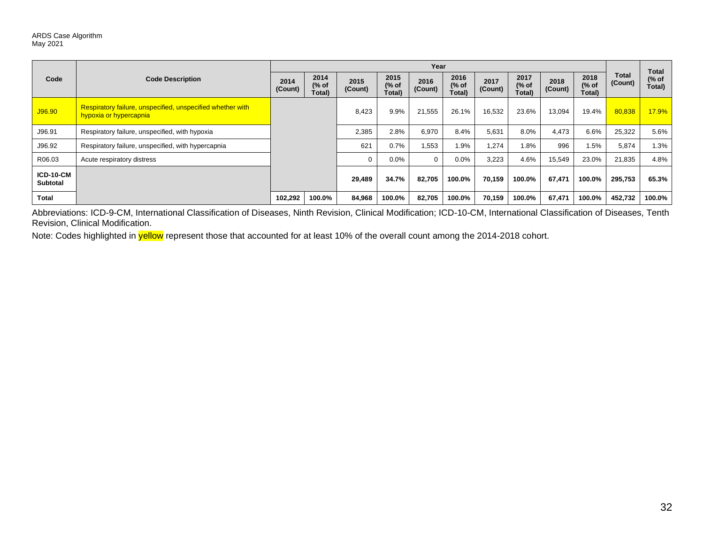|                                     |                                                                                      |         |                         |                 |                         | Year            |                         |                 |                         | <b>Total</b>    |                         |                  |                 |
|-------------------------------------|--------------------------------------------------------------------------------------|---------|-------------------------|-----------------|-------------------------|-----------------|-------------------------|-----------------|-------------------------|-----------------|-------------------------|------------------|-----------------|
| Code                                | <b>Code Description</b>                                                              |         | 2014<br>(% of<br>Total) | 2015<br>(Count) | 2015<br>(% of<br>Total) | 2016<br>(Count) | 2016<br>(% of<br>Total) | 2017<br>(Count) | 2017<br>(% of<br>Total) | 2018<br>(Count) | 2018<br>(% of<br>Total) | Total<br>(Count) | (% of<br>Total) |
| J96.90                              | Respiratory failure, unspecified, unspecified whether with<br>hypoxia or hypercapnia |         |                         | 8,423           | 9.9%                    | 21,555          | 26.1%                   | 16,532          | 23.6%                   | 13,094          | 19.4%                   | 80,838           | 17.9%           |
| J96.91                              | Respiratory failure, unspecified, with hypoxia                                       |         |                         | 2,385           | 2.8%                    | 6,970           | 8.4%                    | 5,631           | 8.0%                    | 4.473           | 6.6%                    | 25,322           | 5.6%            |
| J96.92                              | Respiratory failure, unspecified, with hypercapnia                                   |         |                         | 621             | 0.7%                    | 1,553           | 1.9%                    | 1,274           | .8%                     | 996             | 1.5%                    | 5,874            | 1.3%            |
| R06.03                              | Acute respiratory distress                                                           |         | $\Omega$                | 0.0%            | $\Omega$                | 0.0%            | 3,223                   | 4.6%            | 15,549                  | 23.0%           | 21,835                  | 4.8%             |                 |
| <b>ICD-10-CM</b><br><b>Subtotal</b> |                                                                                      |         |                         | 29,489          | 34.7%                   | 82,705          | 100.0%                  | 70.159          | 100.0%                  | 67,471          | 100.0%                  | 295,753          | 65.3%           |
| <b>Total</b>                        |                                                                                      | 102,292 | 100.0%                  | 84,968          | 100.0%                  | 82,705          | 100.0%                  | 70,159          | 100.0%                  | 67,471          | 100.0%                  | 452,732          | 100.0%          |

Abbreviations: ICD-9-CM, International Classification of Diseases, Ninth Revision, Clinical Modification; ICD-10-CM, International Classification of Diseases, Tenth Revision, Clinical Modification.

Note: Codes highlighted in **yellow** represent those that accounted for at least 10% of the overall count among the 2014-2018 cohort.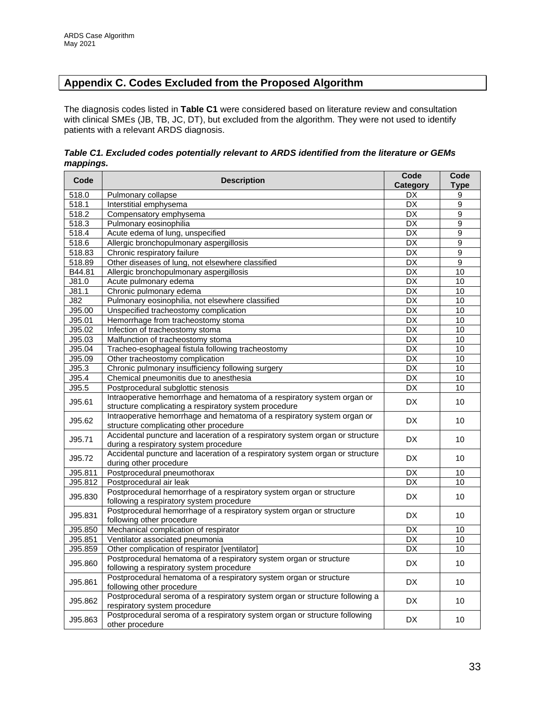## <span id="page-32-0"></span>**Appendix C. Codes Excluded from the Proposed Algorithm**

The diagnosis codes listed in **Table C1** were considered based on literature review and consultation with clinical SMEs (JB, TB, JC, DT), but excluded from the algorithm. They were not used to identify patients with a relevant ARDS diagnosis.

| Table C1. Excluded codes potentially relevant to ARDS identified from the literature or GEMs |  |
|----------------------------------------------------------------------------------------------|--|
| mappings.                                                                                    |  |

| Code    | <b>Description</b>                                                            | Code            | Code             |
|---------|-------------------------------------------------------------------------------|-----------------|------------------|
|         |                                                                               | Category        | <b>Type</b>      |
| 518.0   | Pulmonary collapse                                                            | DX              | 9                |
| 518.1   | Interstitial emphysema                                                        | DX              | $\boldsymbol{9}$ |
| 518.2   | Compensatory emphysema                                                        | <b>DX</b>       | $\overline{9}$   |
| 518.3   | Pulmonary eosinophilia                                                        | <b>DX</b>       | $\overline{9}$   |
| 518.4   | Acute edema of lung, unspecified                                              | <b>DX</b>       | $\boldsymbol{9}$ |
| 518.6   | Allergic bronchopulmonary aspergillosis                                       | <b>DX</b>       | $\overline{9}$   |
| 518.83  | Chronic respiratory failure                                                   | DX              | $\overline{9}$   |
| 518.89  | Other diseases of lung, not elsewhere classified                              | DX              | $\overline{9}$   |
| B44.81  | Allergic bronchopulmonary aspergillosis                                       | <b>DX</b>       | 10               |
| J81.0   | Acute pulmonary edema                                                         | DX              | 10               |
| J81.1   | Chronic pulmonary edema                                                       | <b>DX</b>       | 10               |
| J82     | Pulmonary eosinophilia, not elsewhere classified                              | <b>DX</b>       | 10               |
| J95.00  | Unspecified tracheostomy complication                                         | DX              | 10               |
| J95.01  | Hemorrhage from tracheostomy stoma                                            | DX              | 10               |
| J95.02  | Infection of tracheostomy stoma                                               | <b>DX</b>       | 10               |
| J95.03  | Malfunction of tracheostomy stoma                                             | $\overline{DX}$ | 10               |
| J95.04  | Tracheo-esophageal fistula following tracheostomy                             | DX              | 10               |
| J95.09  | Other tracheostomy complication                                               | <b>DX</b>       | 10               |
| J95.3   | Chronic pulmonary insufficiency following surgery                             | DX              | 10               |
| J95.4   | Chemical pneumonitis due to anesthesia                                        | DX              | 10               |
| J95.5   | Postprocedural subglottic stenosis                                            | DX              | 10               |
| J95.61  | Intraoperative hemorrhage and hematoma of a respiratory system organ or       |                 |                  |
|         | structure complicating a respiratory system procedure                         | DX.             | 10               |
|         | Intraoperative hemorrhage and hematoma of a respiratory system organ or       |                 |                  |
| J95.62  | structure complicating other procedure                                        | DX.             | 10               |
|         | Accidental puncture and laceration of a respiratory system organ or structure |                 |                  |
| J95.71  | during a respiratory system procedure                                         | DX              | 10               |
|         | Accidental puncture and laceration of a respiratory system organ or structure |                 |                  |
| J95.72  | during other procedure                                                        | <b>DX</b>       | 10               |
| J95.811 | Postprocedural pneumothorax                                                   | DX              | 10               |
| J95.812 | Postprocedural air leak                                                       | DX              | 10               |
|         | Postprocedural hemorrhage of a respiratory system organ or structure          |                 |                  |
| J95.830 | following a respiratory system procedure                                      | DX.             | 10               |
|         | Postprocedural hemorrhage of a respiratory system organ or structure          |                 |                  |
| J95.831 | following other procedure                                                     | DX.             | 10               |
| J95.850 | Mechanical complication of respirator                                         | DX              | 10               |
| J95.851 | Ventilator associated pneumonia                                               | <b>DX</b>       | 10               |
| J95.859 | Other complication of respirator [ventilator]                                 | DX              | 10               |
|         | Postprocedural hematoma of a respiratory system organ or structure            |                 |                  |
| J95.860 | following a respiratory system procedure                                      | <b>DX</b>       | 10               |
|         | Postprocedural hematoma of a respiratory system organ or structure            |                 |                  |
| J95.861 | following other procedure                                                     | <b>DX</b>       | 10               |
|         | Postprocedural seroma of a respiratory system organ or structure following a  |                 |                  |
| J95.862 | respiratory system procedure                                                  | <b>DX</b>       | 10               |
|         | Postprocedural seroma of a respiratory system organ or structure following    |                 |                  |
| J95.863 | other procedure                                                               | DX.             | 10               |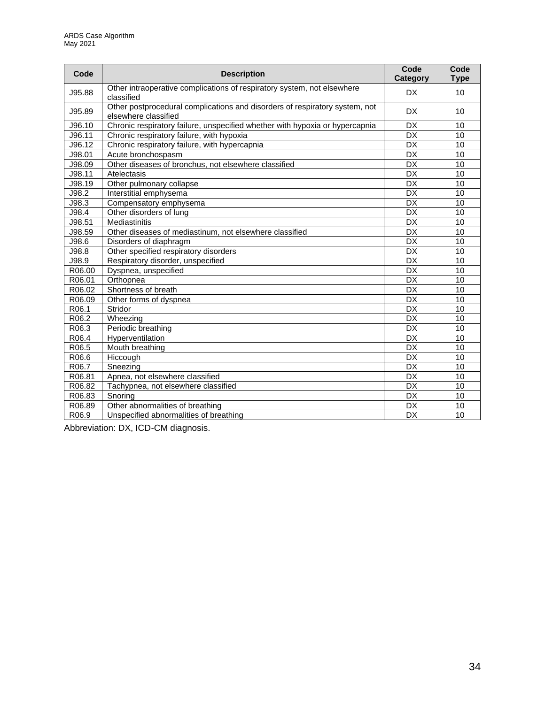| Code   | <b>Description</b>                                                                                  | Code<br><b>Category</b> | Code<br><b>Type</b> |
|--------|-----------------------------------------------------------------------------------------------------|-------------------------|---------------------|
| J95.88 | Other intraoperative complications of respiratory system, not elsewhere<br>classified               | <b>DX</b>               | 10                  |
| J95.89 | Other postprocedural complications and disorders of respiratory system, not<br>elsewhere classified | <b>DX</b>               | 10                  |
| J96.10 | Chronic respiratory failure, unspecified whether with hypoxia or hypercapnia                        | <b>DX</b>               | 10                  |
| J96.11 | Chronic respiratory failure, with hypoxia                                                           | DX                      | 10                  |
| J96.12 | Chronic respiratory failure, with hypercapnia                                                       | DX                      | 10                  |
| J98.01 | Acute bronchospasm                                                                                  | DX.                     | 10                  |
| J98.09 | Other diseases of bronchus, not elsewhere classified                                                | DX                      | 10                  |
| J98.11 | Atelectasis                                                                                         | DX                      | 10                  |
| J98.19 | Other pulmonary collapse                                                                            | DX                      | 10                  |
| J98.2  | Interstitial emphysema                                                                              | <b>DX</b>               | 10                  |
| J98.3  | Compensatory emphysema                                                                              | <b>DX</b>               | 10                  |
| J98.4  | Other disorders of lung                                                                             | DX                      | 10                  |
| J98.51 | Mediastinitis                                                                                       | DX.                     | 10                  |
| J98.59 | Other diseases of mediastinum, not elsewhere classified                                             | DX.                     | 10                  |
| J98.6  | Disorders of diaphragm                                                                              | <b>DX</b>               | 10                  |
| J98.8  | Other specified respiratory disorders                                                               | DX                      | 10                  |
| J98.9  | Respiratory disorder, unspecified                                                                   | <b>DX</b>               | 10                  |
| R06.00 | Dyspnea, unspecified                                                                                | DX                      | 10                  |
| R06.01 | Orthopnea                                                                                           | <b>DX</b>               | 10                  |
| R06.02 | Shortness of breath                                                                                 | DX                      | 10                  |
| R06.09 | Other forms of dyspnea                                                                              | DX                      | 10                  |
| R06.1  | Stridor                                                                                             | DX.                     | 10                  |
| R06.2  | Wheezing                                                                                            | DX                      | 10                  |
| R06.3  | Periodic breathing                                                                                  | DX.                     | 10                  |
| R06.4  | Hyperventilation                                                                                    | $\overline{DX}$         | 10                  |
| R06.5  | Mouth breathing                                                                                     | DX.                     | 10                  |
| R06.6  | Hiccough                                                                                            | DX                      | 10                  |
| R06.7  | Sneezing                                                                                            | $\overline{DX}$         | 10                  |
| R06.81 | Apnea, not elsewhere classified                                                                     | DX.                     | 10                  |
| R06.82 | Tachypnea, not elsewhere classified                                                                 | $\overline{DX}$         | 10                  |
| R06.83 | Snoring                                                                                             | DX.                     | 10                  |
| R06.89 | Other abnormalities of breathing                                                                    | $\overline{DX}$         | 10                  |
| R06.9  | Unspecified abnormalities of breathing                                                              | <b>DX</b>               | 10                  |

Abbreviation: DX, ICD-CM diagnosis.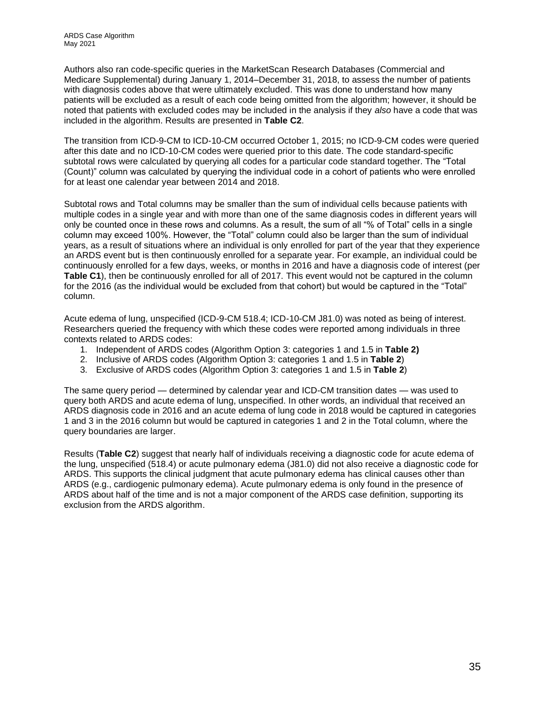Authors also ran code-specific queries in the MarketScan Research Databases (Commercial and Medicare Supplemental) during January 1, 2014–December 31, 2018, to assess the number of patients with diagnosis codes above that were ultimately excluded. This was done to understand how many patients will be excluded as a result of each code being omitted from the algorithm; however, it should be noted that patients with excluded codes may be included in the analysis if they *also* have a code that was included in the algorithm. Results are presented in **Table C2**.

The transition from ICD-9-CM to ICD-10-CM occurred October 1, 2015; no ICD-9-CM codes were queried after this date and no ICD-10-CM codes were queried prior to this date. The code standard-specific subtotal rows were calculated by querying all codes for a particular code standard together. The "Total (Count)" column was calculated by querying the individual code in a cohort of patients who were enrolled for at least one calendar year between 2014 and 2018.

Subtotal rows and Total columns may be smaller than the sum of individual cells because patients with multiple codes in a single year and with more than one of the same diagnosis codes in different years will only be counted once in these rows and columns. As a result, the sum of all "% of Total" cells in a single column may exceed 100%. However, the "Total" column could also be larger than the sum of individual years, as a result of situations where an individual is only enrolled for part of the year that they experience an ARDS event but is then continuously enrolled for a separate year. For example, an individual could be continuously enrolled for a few days, weeks, or months in 2016 and have a diagnosis code of interest (per **Table C1**), then be continuously enrolled for all of 2017. This event would not be captured in the column for the 2016 (as the individual would be excluded from that cohort) but would be captured in the "Total" column.

Acute edema of lung, unspecified (ICD-9-CM 518.4; ICD-10-CM J81.0) was noted as being of interest. Researchers queried the frequency with which these codes were reported among individuals in three contexts related to ARDS codes:

- 1. Independent of ARDS codes (Algorithm Option 3: categories 1 and 1.5 in **[Table 2\)](#page-12-0)**
- 2. Inclusive of ARDS codes (Algorithm Option 3: categories 1 and 1.5 in **[Table 2](#page-12-0)**)
- 3. Exclusive of ARDS codes (Algorithm Option 3: categories 1 and 1.5 in **[Table 2](#page-12-0)**)

The same query period — determined by calendar year and ICD-CM transition dates — was used to query both ARDS and acute edema of lung, unspecified. In other words, an individual that received an ARDS diagnosis code in 2016 and an acute edema of lung code in 2018 would be captured in categories 1 and 3 in the 2016 column but would be captured in categories 1 and 2 in the Total column, where the query boundaries are larger.

Results (**Table C2**) suggest that nearly half of individuals receiving a diagnostic code for acute edema of the lung, unspecified (518.4) or acute pulmonary edema (J81.0) did not also receive a diagnostic code for ARDS. This supports the clinical judgment that acute pulmonary edema has clinical causes other than ARDS (e.g., cardiogenic pulmonary edema). Acute pulmonary edema is only found in the presence of ARDS about half of the time and is not a major component of the ARDS case definition, supporting its exclusion from the ARDS algorithm.